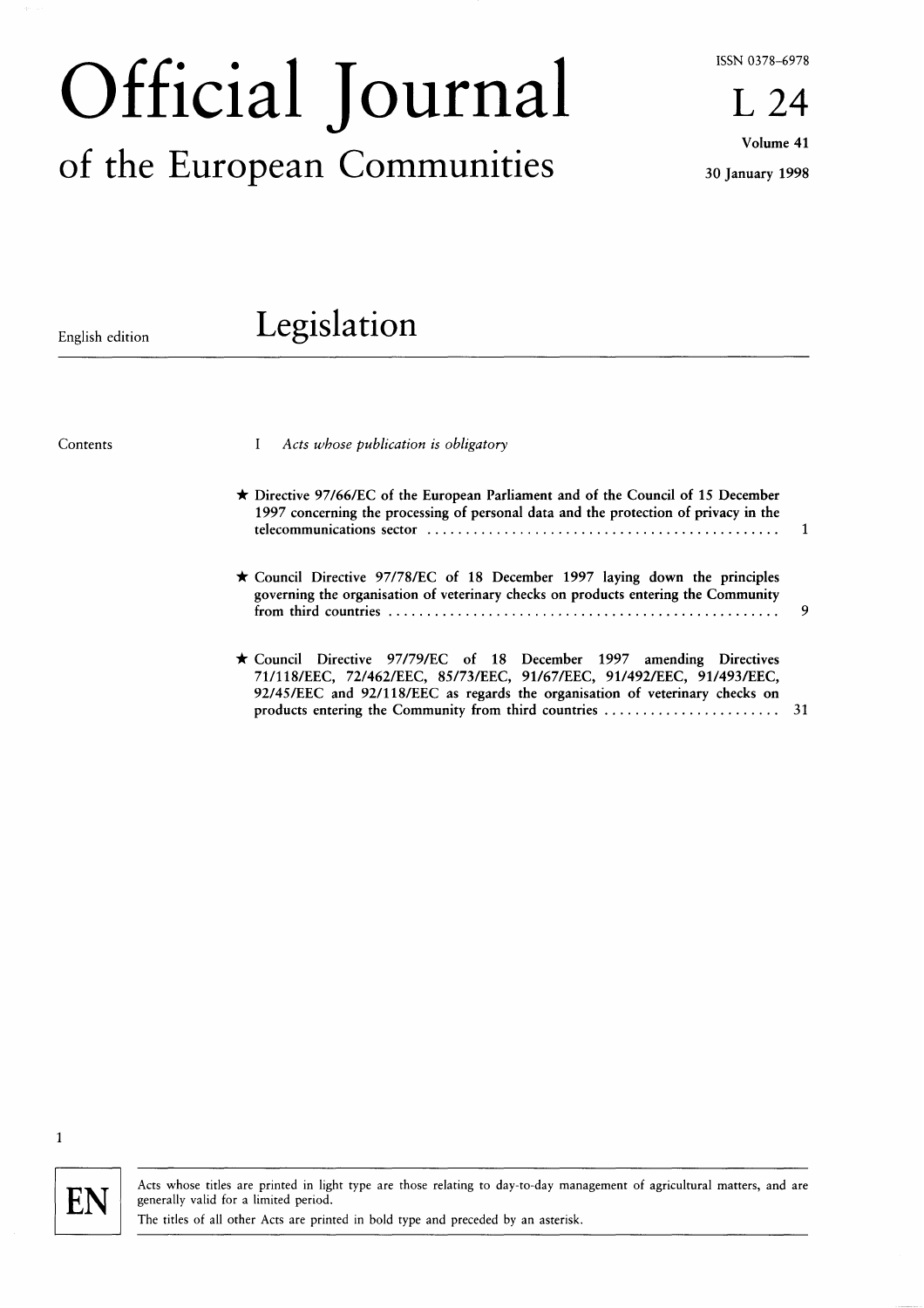# ISSN 0378-6978

# Official Journal of the European Communities

L 24 Volume 41 30 January 1998

English edition

# Legislation

Contents

 $\bf I$ Acts whose publication is obligatory

| ★ Directive 97/66/EC of the European Parliament and of the Council of 15 December<br>1997 concerning the processing of personal data and the protection of privacy in the                                                     |  |  |  |  |
|-------------------------------------------------------------------------------------------------------------------------------------------------------------------------------------------------------------------------------|--|--|--|--|
| $\star$ Council Directive 97/78/EC of 18 December 1997 laying down the principles<br>governing the organisation of veterinary checks on products entering the Community                                                       |  |  |  |  |
| ★ Council Directive 97/79/EC of 18 December 1997 amending Directives<br>71/118/EEC, 72/462/EEC, 85/73/EEC, 91/67/EEC, 91/492/EEC, 91/493/EEC,<br>92/45/EEC and 92/118/EEC as regards the organisation of veterinary checks on |  |  |  |  |

| 92/45/EEC and 92/118/EEC as regards the organisation of veterinary checks on |  |  |  |
|------------------------------------------------------------------------------|--|--|--|
|                                                                              |  |  |  |

 $\mathbf{1}$ 

EN

Acts whose titles are printed in light type are those relating to day-to-day management of agricultural matters, and are generally valid for a limited period.

The titles of all other Acts are printed in bold type and preceded by an asterisk.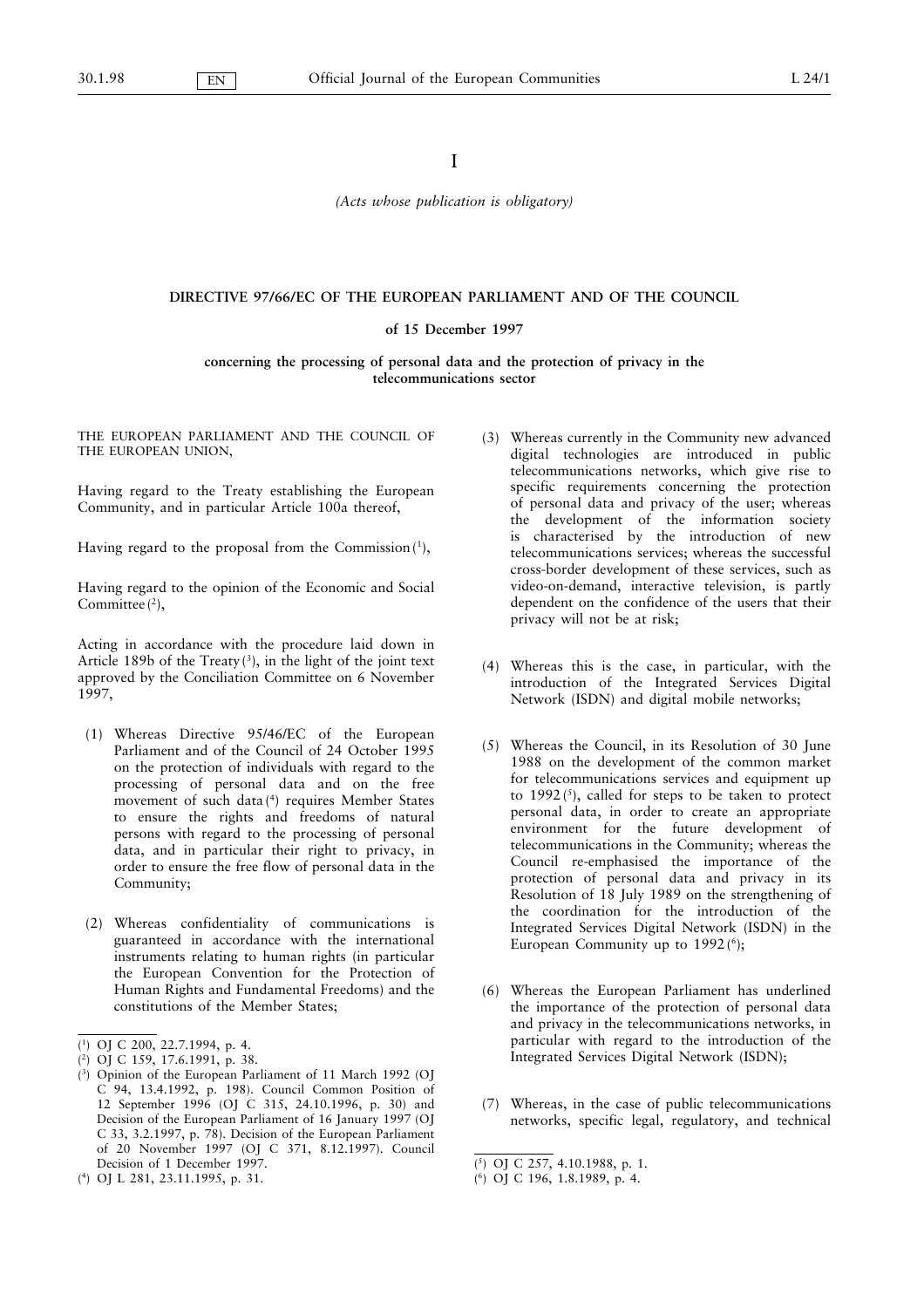I

*(Acts whose publication is obligatory)*

# **DIRECTIVE 97/66/EC OF THE EUROPEAN PARLIAMENT AND OF THE COUNCIL**

#### **of 15 December 1997**

# **concerning the processing of personal data and the protection of privacy in the telecommunications sector**

THE EUROPEAN PARLIAMENT AND THE COUNCIL OF THE EUROPEAN UNION,

Having regard to the Treaty establishing the European Community, and in particular Article 100a thereof,

Having regard to the proposal from the Commission $(1)$ ,

Having regard to the opinion of the Economic and Social Committee  $(2)$ ,

Acting in accordance with the procedure laid down in Article 189b of the Treaty( $3$ ), in the light of the joint text approved by the Conciliation Committee on 6 November 1997,

- (1) Whereas Directive 95/46/EC of the European Parliament and of the Council of 24 October 1995 on the protection of individuals with regard to the processing of personal data and on the free movement of such data(4) requires Member States to ensure the rights and freedoms of natural persons with regard to the processing of personal data, and in particular their right to privacy, in order to ensure the free flow of personal data in the Community;
- (2) Whereas confidentiality of communications is guaranteed in accordance with the international instruments relating to human rights (in particular the European Convention for the Protection of Human Rights and Fundamental Freedoms) and the constitutions of the Member States;
- (3) Whereas currently in the Community new advanced digital technologies are introduced in public telecommunications networks, which give rise to specific requirements concerning the protection of personal data and privacy of the user; whereas the development of the information society is characterised by the introduction of new telecommunications services; whereas the successful cross-border development of these services, such as video-on-demand, interactive television, is partly dependent on the confidence of the users that their privacy will not be at risk;
- (4) Whereas this is the case, in particular, with the introduction of the Integrated Services Digital Network (ISDN) and digital mobile networks;
- (5) Whereas the Council, in its Resolution of 30 June 1988 on the development of the common market for telecommunications services and equipment up to 1992 $(5)$ , called for steps to be taken to protect personal data, in order to create an appropriate environment for the future development of telecommunications in the Community; whereas the Council re-emphasised the importance of the protection of personal data and privacy in its Resolution of 18 July 1989 on the strengthening of the coordination for the introduction of the Integrated Services Digital Network (ISDN) in the European Community up to  $1992\binom{6}{7}$ ;
- (6) Whereas the European Parliament has underlined the importance of the protection of personal data and privacy in the telecommunications networks, in particular with regard to the introduction of the Integrated Services Digital Network (ISDN);
- (7) Whereas, in the case of public telecommunications networks, specific legal, regulatory, and technical

<sup>(</sup> 1) OJ C 200, 22.7.1994, p. 4.

<sup>(</sup> 2) OJ C 159, 17.6.1991, p. 38.

<sup>(</sup> 3) Opinion of the European Parliament of 11 March 1992 (OJ C 94, 13.4.1992, p. 198). Council Common Position of 12 September 1996 (OJ C 315, 24.10.1996, p. 30) and Decision of the European Parliament of 16 January 1997 (OJ C 33, 3.2.1997, p. 78). Decision of the European Parliament of 20 November 1997 (OJ C 371, 8.12.1997). Council Decision of 1 December 1997.

<sup>(</sup> 4) OJ L 281, 23.11.1995, p. 31.

 $(5)$  OJ C 257, 4.10.1988, p. 1.

<sup>(</sup> 6) OJ C 196, 1.8.1989, p. 4.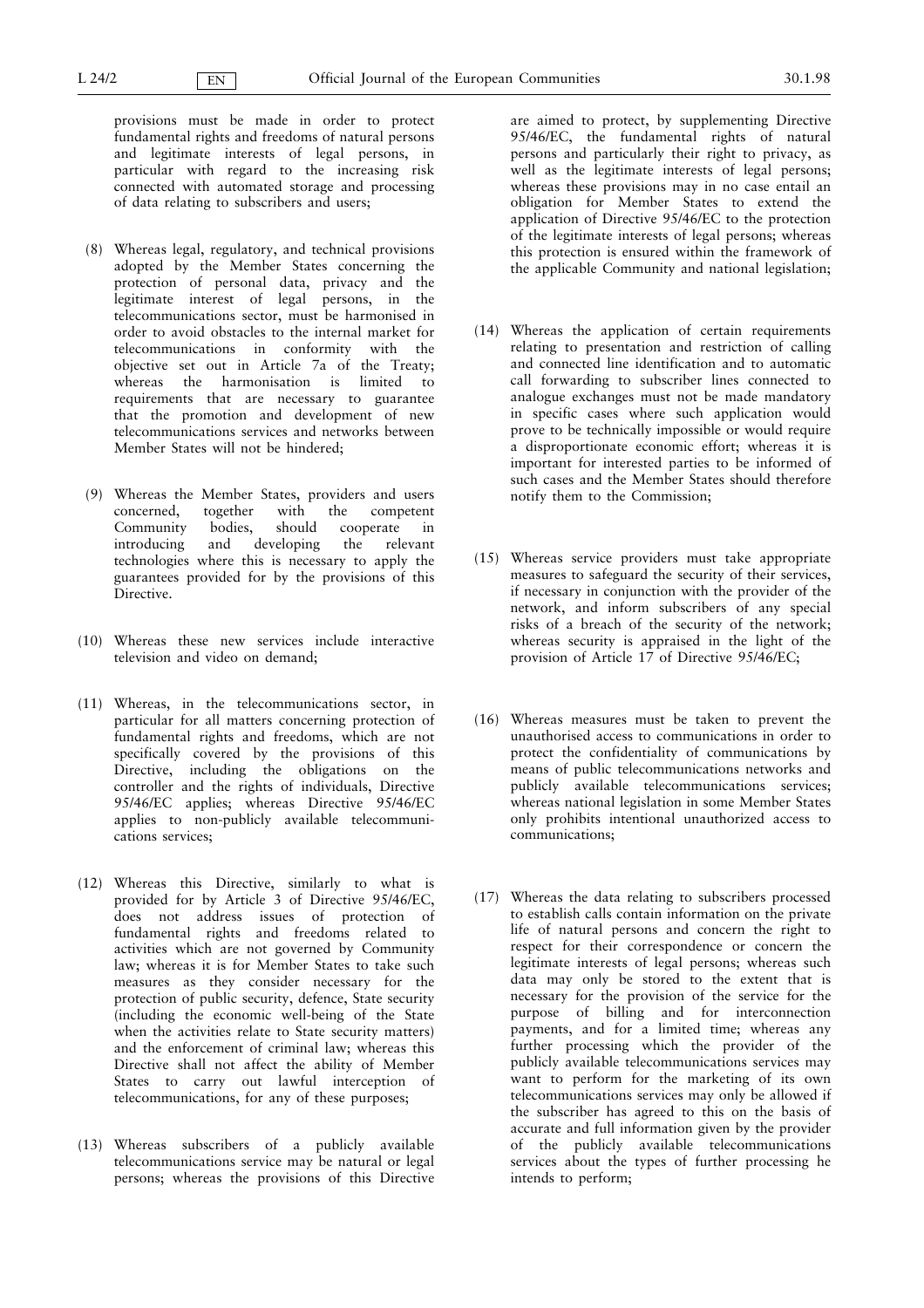provisions must be made in order to protect fundamental rights and freedoms of natural persons and legitimate interests of legal persons, in particular with regard to the increasing risk connected with automated storage and processing of data relating to subscribers and users;

- (8) Whereas legal, regulatory, and technical provisions adopted by the Member States concerning the protection of personal data, privacy and the legitimate interest of legal persons, in the telecommunications sector, must be harmonised in order to avoid obstacles to the internal market for telecommunications in conformity with the objective set out in Article 7a of the Treaty; whereas the harmonisation is limited to requirements that are necessary to guarantee that the promotion and development of new telecommunications services and networks between Member States will not be hindered;
- (9) Whereas the Member States, providers and users concerned, together with the competent Community bodies, should cooperate in introducing and developing the relevant technologies where this is necessary to apply the guarantees provided for by the provisions of this Directive.
- (10) Whereas these new services include interactive television and video on demand;
- (11) Whereas, in the telecommunications sector, in particular for all matters concerning protection of fundamental rights and freedoms, which are not specifically covered by the provisions of this Directive, including the obligations on the controller and the rights of individuals, Directive 95/46/EC applies; whereas Directive 95/46/EC applies to non-publicly available telecommunications services;
- (12) Whereas this Directive, similarly to what is provided for by Article 3 of Directive 95/46/EC, does not address issues of protection of fundamental rights and freedoms related to activities which are not governed by Community law; whereas it is for Member States to take such measures as they consider necessary for the protection of public security, defence, State security (including the economic well-being of the State when the activities relate to State security matters) and the enforcement of criminal law; whereas this Directive shall not affect the ability of Member States to carry out lawful interception of telecommunications, for any of these purposes;
- (13) Whereas subscribers of a publicly available telecommunications service may be natural or legal persons; whereas the provisions of this Directive

are aimed to protect, by supplementing Directive 95/46/EC, the fundamental rights of natural persons and particularly their right to privacy, as well as the legitimate interests of legal persons; whereas these provisions may in no case entail an obligation for Member States to extend the application of Directive 95/46/EC to the protection of the legitimate interests of legal persons; whereas this protection is ensured within the framework of the applicable Community and national legislation;

- (14) Whereas the application of certain requirements relating to presentation and restriction of calling and connected line identification and to automatic call forwarding to subscriber lines connected to analogue exchanges must not be made mandatory in specific cases where such application would prove to be technically impossible or would require a disproportionate economic effort; whereas it is important for interested parties to be informed of such cases and the Member States should therefore notify them to the Commission;
- (15) Whereas service providers must take appropriate measures to safeguard the security of their services, if necessary in conjunction with the provider of the network, and inform subscribers of any special risks of a breach of the security of the network; whereas security is appraised in the light of the provision of Article 17 of Directive 95/46/EC;
- (16) Whereas measures must be taken to prevent the unauthorised access to communications in order to protect the confidentiality of communications by means of public telecommunications networks and publicly available telecommunications services; whereas national legislation in some Member States only prohibits intentional unauthorized access to communications;
- (17) Whereas the data relating to subscribers processed to establish calls contain information on the private life of natural persons and concern the right to respect for their correspondence or concern the legitimate interests of legal persons; whereas such data may only be stored to the extent that is necessary for the provision of the service for the purpose of billing and for interconnection payments, and for a limited time; whereas any further processing which the provider of the publicly available telecommunications services may want to perform for the marketing of its own telecommunications services may only be allowed if the subscriber has agreed to this on the basis of accurate and full information given by the provider of the publicly available telecommunications services about the types of further processing he intends to perform;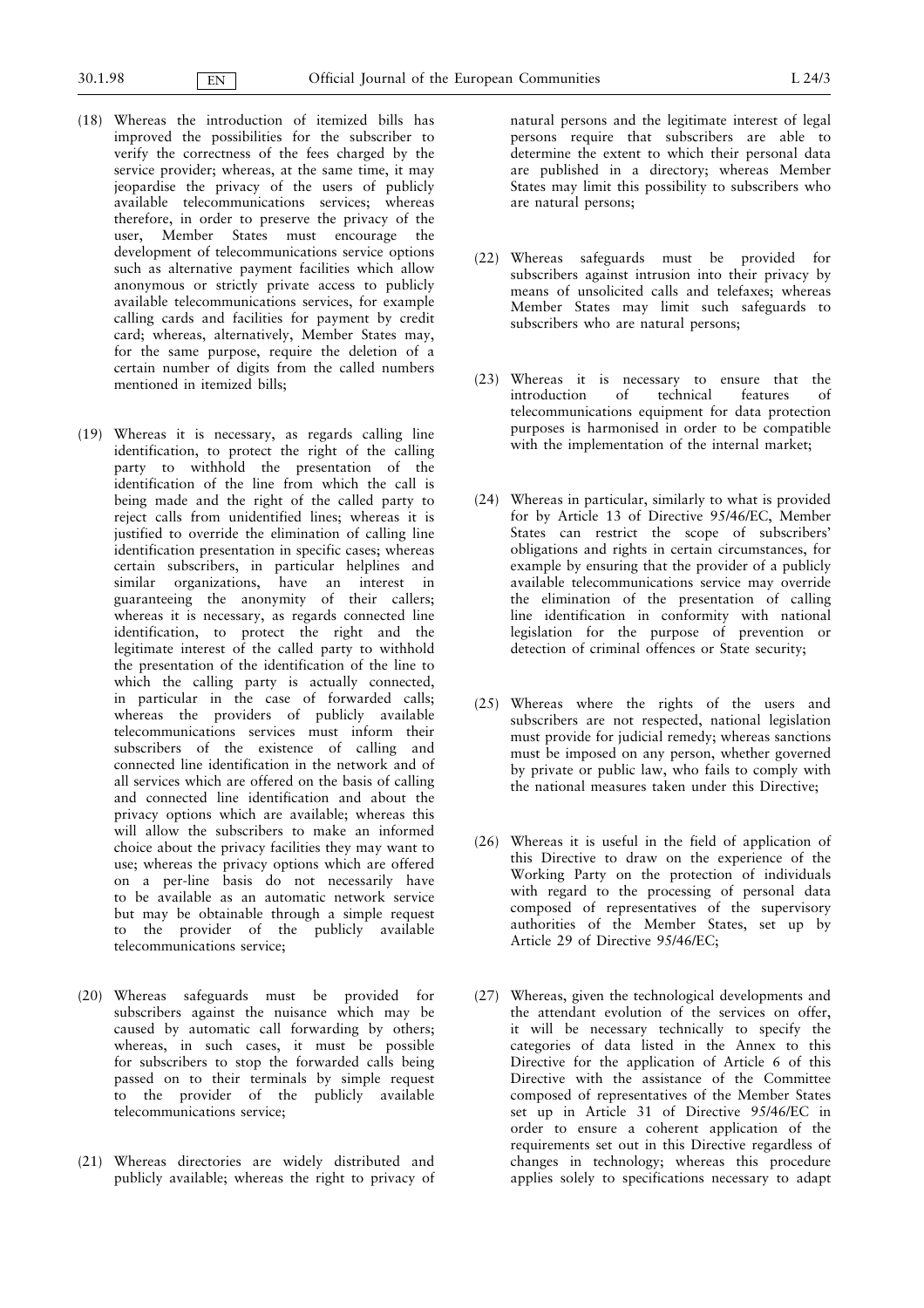- (18) Whereas the introduction of itemized bills has improved the possibilities for the subscriber to verify the correctness of the fees charged by the service provider; whereas, at the same time, it may jeopardise the privacy of the users of publicly available telecommunications services; whereas therefore, in order to preserve the privacy of the user, Member States must encourage the development of telecommunications service options such as alternative payment facilities which allow anonymous or strictly private access to publicly available telecommunications services, for example calling cards and facilities for payment by credit card; whereas, alternatively, Member States may, for the same purpose, require the deletion of a certain number of digits from the called numbers mentioned in itemized bills;
- (19) Whereas it is necessary, as regards calling line identification, to protect the right of the calling party to withhold the presentation of the identification of the line from which the call is being made and the right of the called party to reject calls from unidentified lines; whereas it is justified to override the elimination of calling line identification presentation in specific cases; whereas certain subscribers, in particular helplines and similar organizations, have an interest in guaranteeing the anonymity of their callers; whereas it is necessary, as regards connected line identification, to protect the right and the legitimate interest of the called party to withhold the presentation of the identification of the line to which the calling party is actually connected, in particular in the case of forwarded calls; whereas the providers of publicly available telecommunications services must inform their subscribers of the existence of calling and connected line identification in the network and of all services which are offered on the basis of calling and connected line identification and about the privacy options which are available; whereas this will allow the subscribers to make an informed choice about the privacy facilities they may want to use; whereas the privacy options which are offered on a per-line basis do not necessarily have to be available as an automatic network service but may be obtainable through a simple request to the provider of the publicly available telecommunications service;
- (20) Whereas safeguards must be provided for subscribers against the nuisance which may be caused by automatic call forwarding by others; whereas, in such cases, it must be possible for subscribers to stop the forwarded calls being passed on to their terminals by simple request to the provider of the publicly available telecommunications service;
- (21) Whereas directories are widely distributed and publicly available; whereas the right to privacy of

natural persons and the legitimate interest of legal persons require that subscribers are able to determine the extent to which their personal data are published in a directory; whereas Member States may limit this possibility to subscribers who are natural persons;

- (22) Whereas safeguards must be provided for subscribers against intrusion into their privacy by means of unsolicited calls and telefaxes; whereas Member States may limit such safeguards to subscribers who are natural persons;
- (23) Whereas it is necessary to ensure that the introduction of technical features of telecommunications equipment for data protection purposes is harmonised in order to be compatible with the implementation of the internal market;
- (24) Whereas in particular, similarly to what is provided for by Article 13 of Directive 95/46/EC, Member States can restrict the scope of subscribers' obligations and rights in certain circumstances, for example by ensuring that the provider of a publicly available telecommunications service may override the elimination of the presentation of calling line identification in conformity with national legislation for the purpose of prevention or detection of criminal offences or State security;
- (25) Whereas where the rights of the users and subscribers are not respected, national legislation must provide for judicial remedy; whereas sanctions must be imposed on any person, whether governed by private or public law, who fails to comply with the national measures taken under this Directive;
- (26) Whereas it is useful in the field of application of this Directive to draw on the experience of the Working Party on the protection of individuals with regard to the processing of personal data composed of representatives of the supervisory authorities of the Member States, set up by Article 29 of Directive 95/46/EC;
- (27) Whereas, given the technological developments and the attendant evolution of the services on offer, it will be necessary technically to specify the categories of data listed in the Annex to this Directive for the application of Article 6 of this Directive with the assistance of the Committee composed of representatives of the Member States set up in Article 31 of Directive 95/46/EC in order to ensure a coherent application of the requirements set out in this Directive regardless of changes in technology; whereas this procedure applies solely to specifications necessary to adapt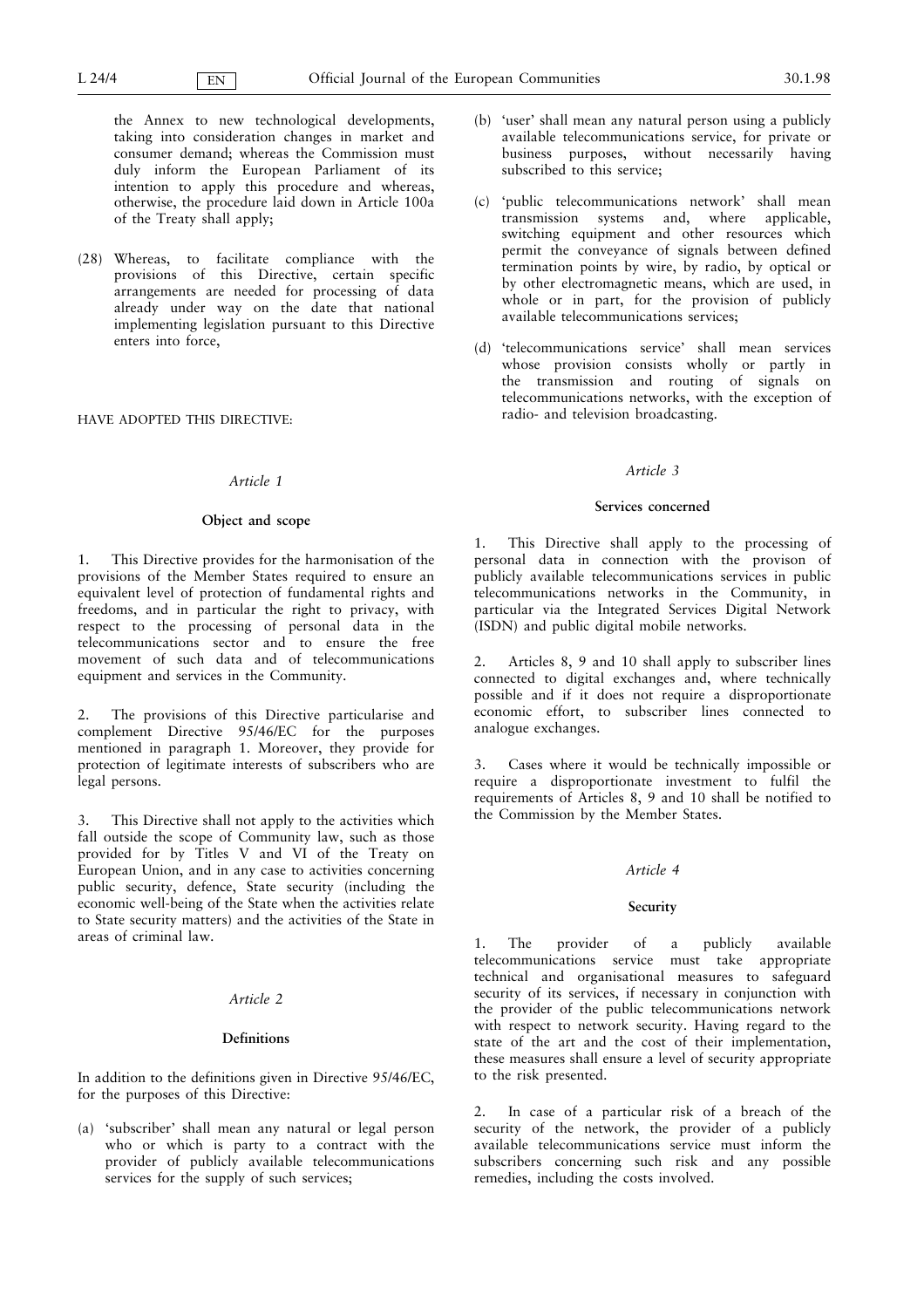the Annex to new technological developments, taking into consideration changes in market and consumer demand; whereas the Commission must duly inform the European Parliament of its intention to apply this procedure and whereas, otherwise, the procedure laid down in Article 100a of the Treaty shall apply;

(28) Whereas, to facilitate compliance with the provisions of this Directive, certain specific arrangements are needed for processing of data already under way on the date that national implementing legislation pursuant to this Directive enters into force,

# HAVE ADOPTED THIS DIRECTIVE:

# *Article 1*

#### **Object and scope**

1. This Directive provides for the harmonisation of the provisions of the Member States required to ensure an equivalent level of protection of fundamental rights and freedoms, and in particular the right to privacy, with respect to the processing of personal data in the telecommunications sector and to ensure the free movement of such data and of telecommunications equipment and services in the Community.

2. The provisions of this Directive particularise and complement Directive 95/46/EC for the purposes mentioned in paragraph 1. Moreover, they provide for protection of legitimate interests of subscribers who are legal persons.

3. This Directive shall not apply to the activities which fall outside the scope of Community law, such as those provided for by Titles V and VI of the Treaty on European Union, and in any case to activities concerning public security, defence, State security (including the economic well-being of the State when the activities relate to State security matters) and the activities of the State in areas of criminal law.

# *Article 2*

#### **Definitions**

In addition to the definitions given in Directive 95/46/EC, for the purposes of this Directive:

(a) 'subscriber' shall mean any natural or legal person who or which is party to a contract with the provider of publicly available telecommunications services for the supply of such services;

- (b) 'user' shall mean any natural person using a publicly available telecommunications service, for private or business purposes, without necessarily having subscribed to this service;
- (c) 'public telecommunications network' shall mean transmission systems and, where applicable, switching equipment and other resources which permit the conveyance of signals between defined termination points by wire, by radio, by optical or by other electromagnetic means, which are used, in whole or in part, for the provision of publicly available telecommunications services;
- (d) 'telecommunications service' shall mean services whose provision consists wholly or partly in the transmission and routing of signals on telecommunications networks, with the exception of radio- and television broadcasting.

# *Article 3*

#### **Services concerned**

1. This Directive shall apply to the processing of personal data in connection with the provison of publicly available telecommunications services in public telecommunications networks in the Community, in particular via the Integrated Services Digital Network (ISDN) and public digital mobile networks.

Articles 8, 9 and 10 shall apply to subscriber lines connected to digital exchanges and, where technically possible and if it does not require a disproportionate economic effort, to subscriber lines connected to analogue exchanges.

3. Cases where it would be technically impossible or require a disproportionate investment to fulfil the requirements of Articles 8, 9 and 10 shall be notified to the Commission by the Member States.

#### *Article 4*

#### **Security**

1. The provider of a publicly available telecommunications service must take appropriate technical and organisational measures to safeguard security of its services, if necessary in conjunction with the provider of the public telecommunications network with respect to network security. Having regard to the state of the art and the cost of their implementation, these measures shall ensure a level of security appropriate to the risk presented.

2. In case of a particular risk of a breach of the security of the network, the provider of a publicly available telecommunications service must inform the subscribers concerning such risk and any possible remedies, including the costs involved.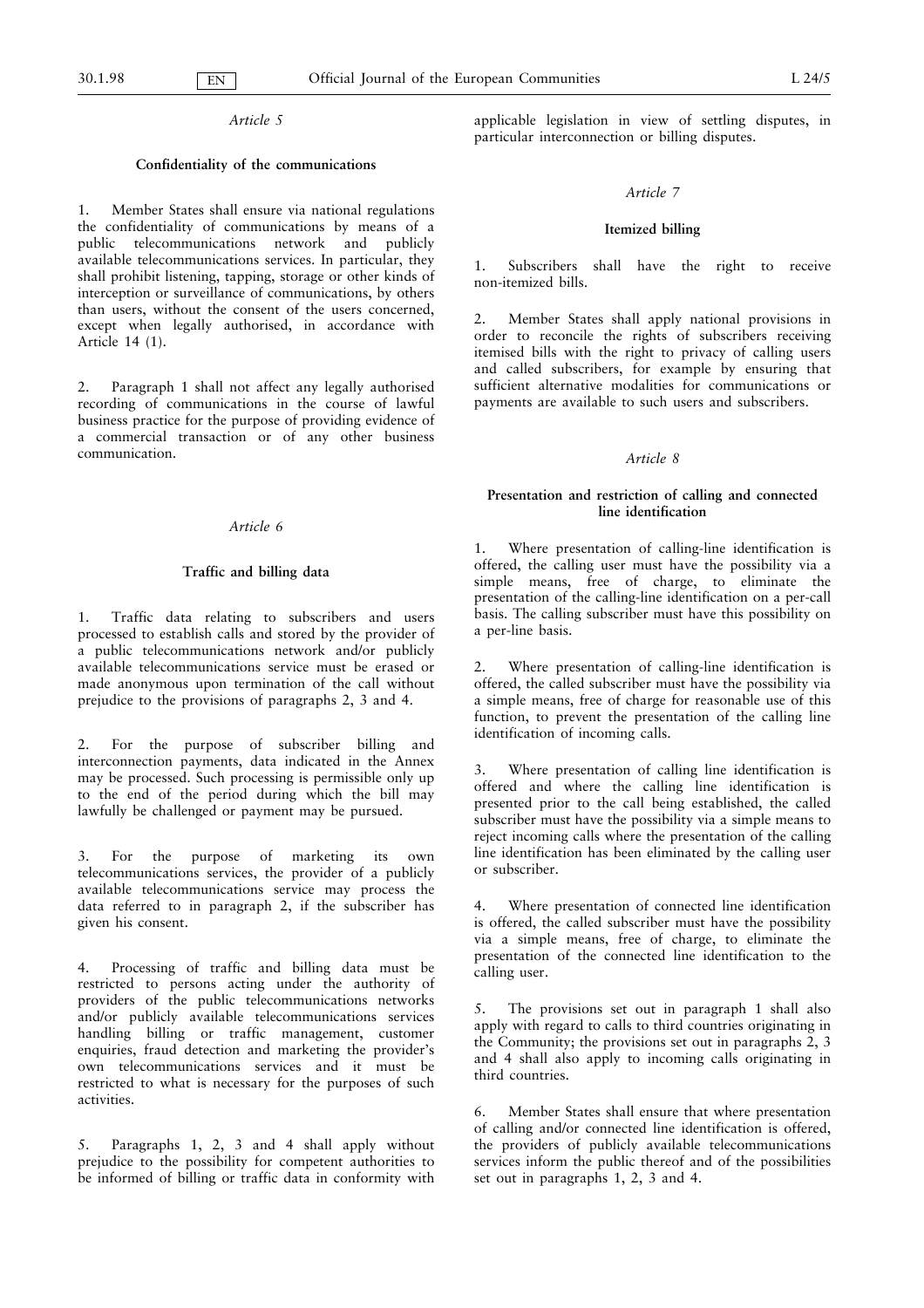# *Article 5*

# **Confidentiality of the communications**

1. Member States shall ensure via national regulations the confidentiality of communications by means of a public telecommunications network and publicly available telecommunications services. In particular, they shall prohibit listening, tapping, storage or other kinds of interception or surveillance of communications, by others than users, without the consent of the users concerned, except when legally authorised, in accordance with Article 14 (1).

2. Paragraph 1 shall not affect any legally authorised recording of communications in the course of lawful business practice for the purpose of providing evidence of a commercial transaction or of any other business communication.

#### *Article 6*

#### **Traffic and billing data**

Traffic data relating to subscribers and users processed to establish calls and stored by the provider of a public telecommunications network and/or publicly available telecommunications service must be erased or made anonymous upon termination of the call without prejudice to the provisions of paragraphs 2, 3 and 4.

2. For the purpose of subscriber billing and interconnection payments, data indicated in the Annex may be processed. Such processing is permissible only up to the end of the period during which the bill may lawfully be challenged or payment may be pursued.

3. For the purpose of marketing its own telecommunications services, the provider of a publicly available telecommunications service may process the data referred to in paragraph 2, if the subscriber has given his consent.

4. Processing of traffic and billing data must be restricted to persons acting under the authority of providers of the public telecommunications networks and/or publicly available telecommunications services handling billing or traffic management, customer enquiries, fraud detection and marketing the provider's own telecommunications services and it must be restricted to what is necessary for the purposes of such activities.

5. Paragraphs 1, 2, 3 and 4 shall apply without prejudice to the possibility for competent authorities to be informed of billing or traffic data in conformity with applicable legislation in view of settling disputes, in particular interconnection or billing disputes.

#### *Article 7*

#### **Itemized billing**

Subscribers shall have the right to receive non-itemized bills.

2. Member States shall apply national provisions in order to reconcile the rights of subscribers receiving itemised bills with the right to privacy of calling users and called subscribers, for example by ensuring that sufficient alternative modalities for communications or payments are available to such users and subscribers.

#### *Article 8*

#### **Presentation and restriction of calling and connected line identification**

Where presentation of calling-line identification is offered, the calling user must have the possibility via a simple means, free of charge, to eliminate the presentation of the calling-line identification on a per-call basis. The calling subscriber must have this possibility on a per-line basis.

Where presentation of calling-line identification is offered, the called subscriber must have the possibility via a simple means, free of charge for reasonable use of this function, to prevent the presentation of the calling line identification of incoming calls.

3. Where presentation of calling line identification is offered and where the calling line identification is presented prior to the call being established, the called subscriber must have the possibility via a simple means to reject incoming calls where the presentation of the calling line identification has been eliminated by the calling user or subscriber.

4. Where presentation of connected line identification is offered, the called subscriber must have the possibility via a simple means, free of charge, to eliminate the presentation of the connected line identification to the calling user.

5. The provisions set out in paragraph 1 shall also apply with regard to calls to third countries originating in the Community; the provisions set out in paragraphs 2, 3 and 4 shall also apply to incoming calls originating in third countries.

6. Member States shall ensure that where presentation of calling and/or connected line identification is offered, the providers of publicly available telecommunications services inform the public thereof and of the possibilities set out in paragraphs 1, 2, 3 and 4.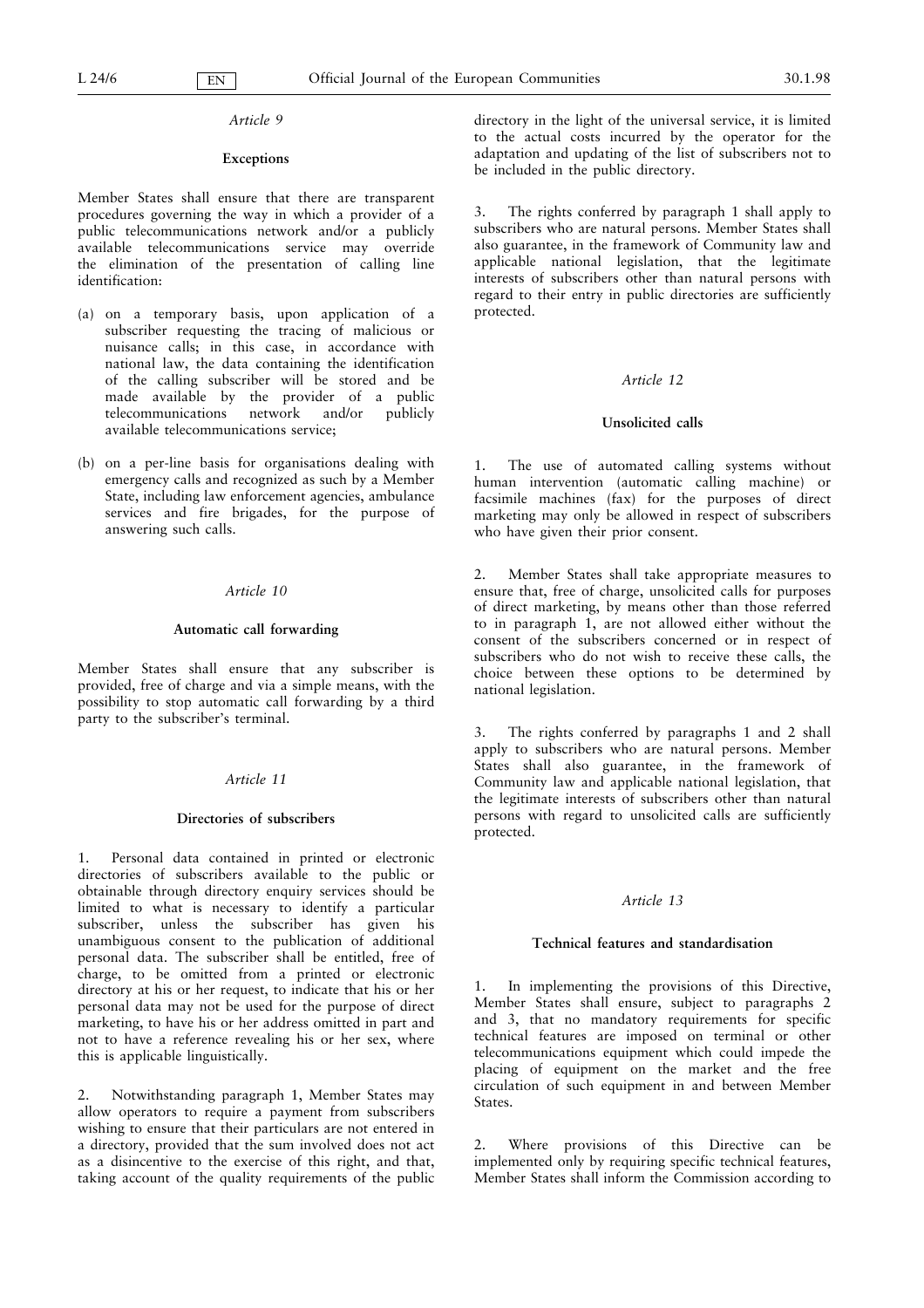# *Article 9*

# **Exceptions**

Member States shall ensure that there are transparent procedures governing the way in which a provider of a public telecommunications network and/or a publicly available telecommunications service may override the elimination of the presentation of calling line identification:

- (a) on a temporary basis, upon application of a subscriber requesting the tracing of malicious or nuisance calls; in this case, in accordance with national law, the data containing the identification of the calling subscriber will be stored and be made available by the provider of a public telecommunications network and/or publicly available telecommunications service;
- (b) on a per-line basis for organisations dealing with emergency calls and recognized as such by a Member State, including law enforcement agencies, ambulance services and fire brigades, for the purpose of answering such calls.

# *Article 10*

#### **Automatic call forwarding**

Member States shall ensure that any subscriber is provided, free of charge and via a simple means, with the possibility to stop automatic call forwarding by a third party to the subscriber's terminal.

#### *Article 11*

#### **Directories of subscribers**

1. Personal data contained in printed or electronic directories of subscribers available to the public or obtainable through directory enquiry services should be limited to what is necessary to identify a particular subscriber, unless the subscriber has given his unambiguous consent to the publication of additional personal data. The subscriber shall be entitled, free of charge, to be omitted from a printed or electronic directory at his or her request, to indicate that his or her personal data may not be used for the purpose of direct marketing, to have his or her address omitted in part and not to have a reference revealing his or her sex, where this is applicable linguistically.

2. Notwithstanding paragraph 1, Member States may allow operators to require a payment from subscribers wishing to ensure that their particulars are not entered in a directory, provided that the sum involved does not act as a disincentive to the exercise of this right, and that, taking account of the quality requirements of the public

directory in the light of the universal service, it is limited to the actual costs incurred by the operator for the adaptation and updating of the list of subscribers not to be included in the public directory.

3. The rights conferred by paragraph 1 shall apply to subscribers who are natural persons. Member States shall also guarantee, in the framework of Community law and applicable national legislation, that the legitimate interests of subscribers other than natural persons with regard to their entry in public directories are sufficiently protected.

## *Article 12*

#### **Unsolicited calls**

1. The use of automated calling systems without human intervention (automatic calling machine) or facsimile machines (fax) for the purposes of direct marketing may only be allowed in respect of subscribers who have given their prior consent.

2. Member States shall take appropriate measures to ensure that, free of charge, unsolicited calls for purposes of direct marketing, by means other than those referred to in paragraph 1, are not allowed either without the consent of the subscribers concerned or in respect of subscribers who do not wish to receive these calls, the choice between these options to be determined by national legislation.

3. The rights conferred by paragraphs 1 and 2 shall apply to subscribers who are natural persons. Member States shall also guarantee, in the framework of Community law and applicable national legislation, that the legitimate interests of subscribers other than natural persons with regard to unsolicited calls are sufficiently protected.

#### *Article 13*

# **Technical features and standardisation**

1. In implementing the provisions of this Directive, Member States shall ensure, subject to paragraphs 2 and 3, that no mandatory requirements for specific technical features are imposed on terminal or other telecommunications equipment which could impede the placing of equipment on the market and the free circulation of such equipment in and between Member States.

2. Where provisions of this Directive can be implemented only by requiring specific technical features, Member States shall inform the Commission according to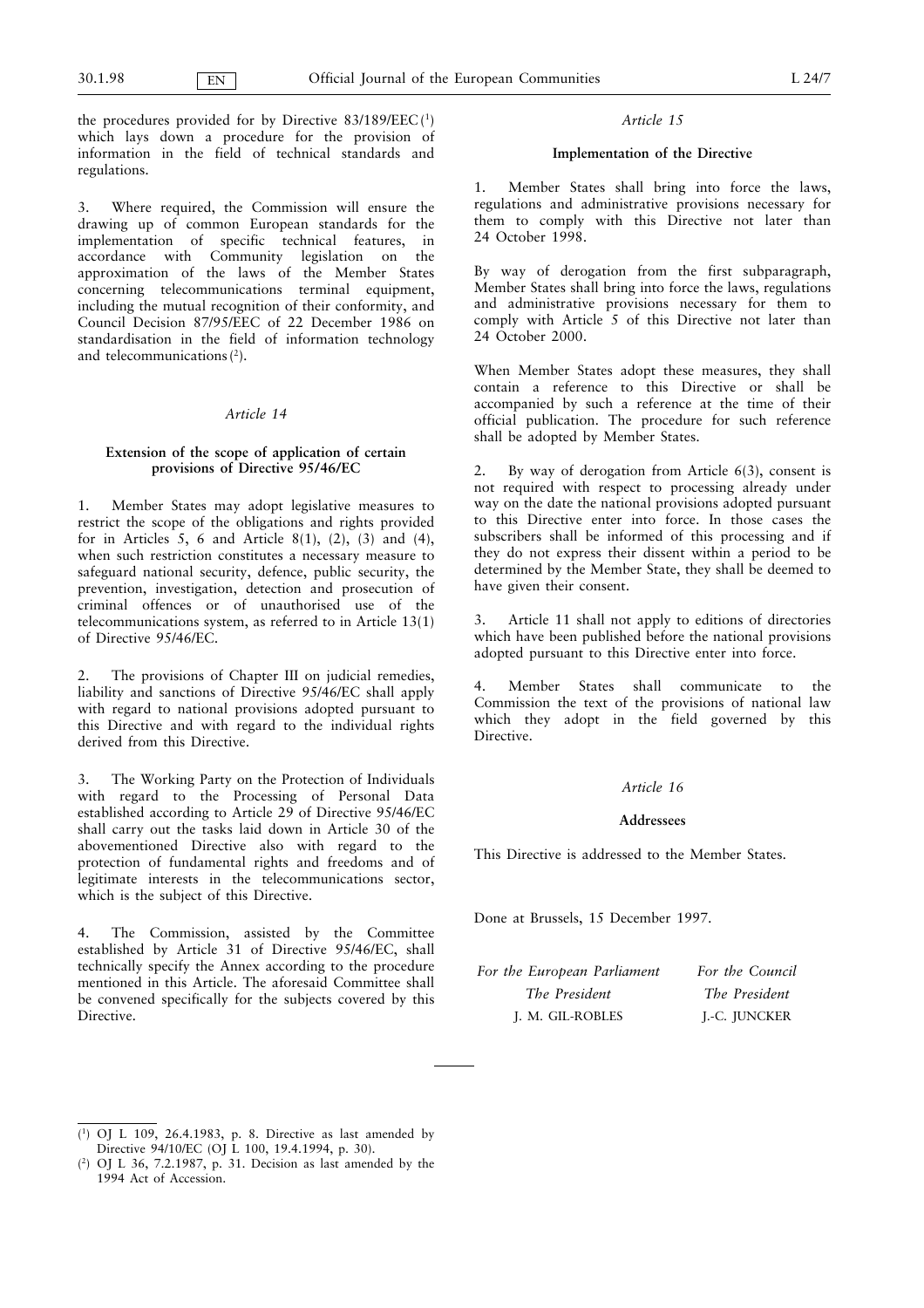the procedures provided for by Directive 83/189/EEC(1 ) which lays down a procedure for the provision of information in the field of technical standards and regulations.

3. Where required, the Commission will ensure the drawing up of common European standards for the implementation of specific technical features, in accordance with Community legislation on the approximation of the laws of the Member States concerning telecommunications terminal equipment, including the mutual recognition of their conformity, and Council Decision 87/95/EEC of 22 December 1986 on standardisation in the field of information technology and telecommunications $(2)$ .

#### *Article 14*

#### **Extension of the scope of application of certain provisions of Directive 95/46/EC**

1. Member States may adopt legislative measures to restrict the scope of the obligations and rights provided for in Articles 5, 6 and Article 8(1), (2), (3) and (4), when such restriction constitutes a necessary measure to safeguard national security, defence, public security, the prevention, investigation, detection and prosecution of criminal offences or of unauthorised use of the telecommunications system, as referred to in Article 13(1) of Directive 95/46/EC.

2. The provisions of Chapter III on judicial remedies, liability and sanctions of Directive 95/46/EC shall apply with regard to national provisions adopted pursuant to this Directive and with regard to the individual rights derived from this Directive.

3. The Working Party on the Protection of Individuals with regard to the Processing of Personal Data established according to Article 29 of Directive 95/46/EC shall carry out the tasks laid down in Article 30 of the abovementioned Directive also with regard to the protection of fundamental rights and freedoms and of legitimate interests in the telecommunications sector, which is the subject of this Directive.

4. The Commission, assisted by the Committee established by Article 31 of Directive 95/46/EC, shall technically specify the Annex according to the procedure mentioned in this Article. The aforesaid Committee shall be convened specifically for the subjects covered by this Directive.

# *Article 15*

#### **Implementation of the Directive**

Member States shall bring into force the laws, regulations and administrative provisions necessary for them to comply with this Directive not later than 24 October 1998.

By way of derogation from the first subparagraph, Member States shall bring into force the laws, regulations and administrative provisions necessary for them to comply with Article 5 of this Directive not later than 24 October 2000.

When Member States adopt these measures, they shall contain a reference to this Directive or shall be accompanied by such a reference at the time of their official publication. The procedure for such reference shall be adopted by Member States.

2. By way of derogation from Article 6(3), consent is not required with respect to processing already under way on the date the national provisions adopted pursuant to this Directive enter into force. In those cases the subscribers shall be informed of this processing and if they do not express their dissent within a period to be determined by the Member State, they shall be deemed to have given their consent.

3. Article 11 shall not apply to editions of directories which have been published before the national provisions adopted pursuant to this Directive enter into force.

Member States shall communicate to the Commission the text of the provisions of national law which they adopt in the field governed by this Directive.

#### *Article 16*

#### **Addressees**

This Directive is addressed to the Member States.

Done at Brussels, 15 December 1997.

| For the European Parliament | For the Council |
|-----------------------------|-----------------|
| The President               | The President   |
| J. M. GIL-ROBLES            | J.-C. JUNCKER   |

<sup>(</sup> 1 ) OJ L 109, 26.4.1983, p. 8. Directive as last amended by Directive 94/10/EC (OJ L 100, 19.4.1994, p. 30).

<sup>(</sup> 2) OJ L 36, 7.2.1987, p. 31. Decision as last amended by the 1994 Act of Accession.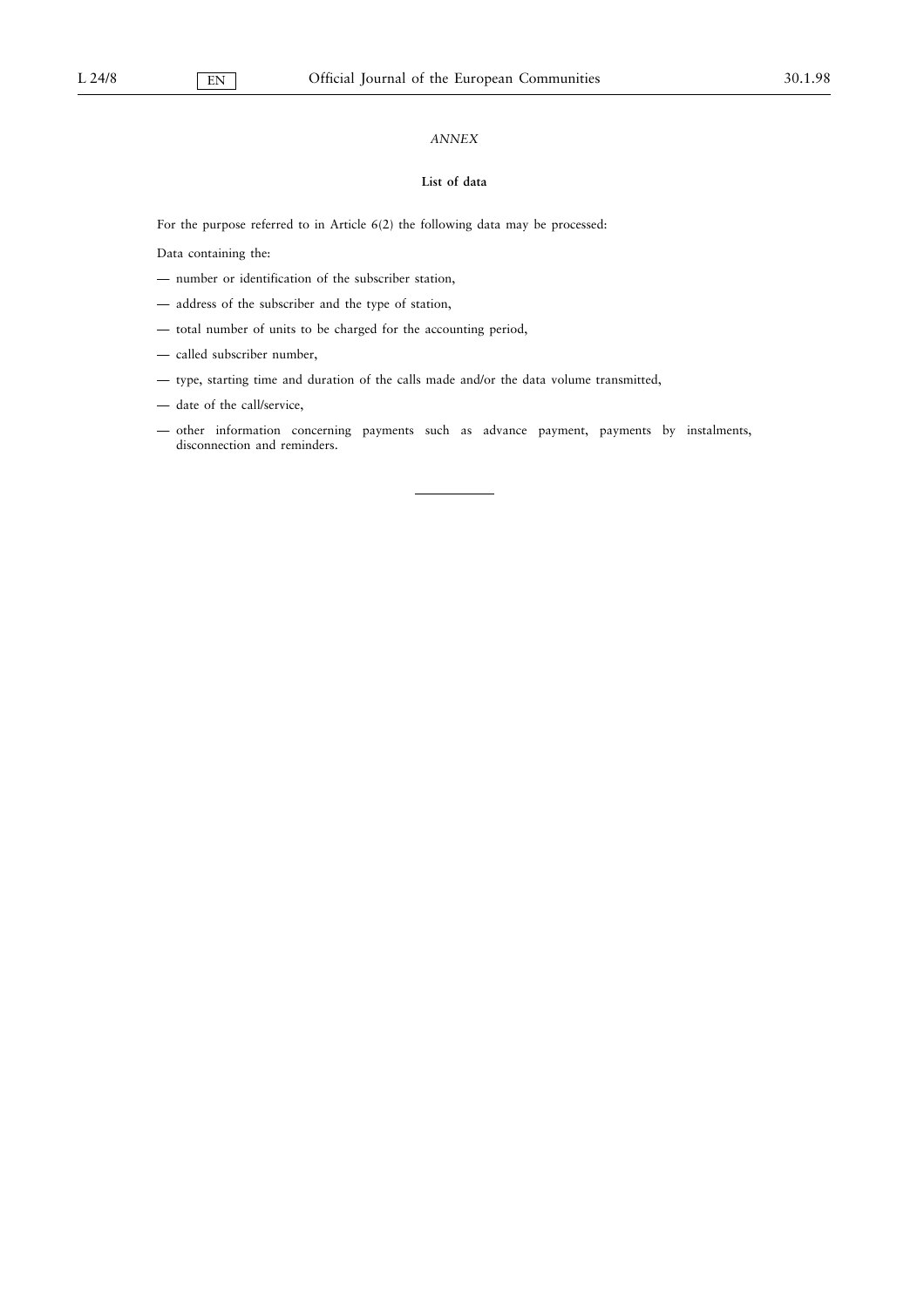## *ANNEX*

# **List of data**

For the purpose referred to in Article 6(2) the following data may be processed:

Data containing the:

- number or identification of the subscriber station,
- address of the subscriber and the type of station,
- total number of units to be charged for the accounting period,
- called subscriber number,
- type, starting time and duration of the calls made and/or the data volume transmitted,
- date of the call/service,
- other information concerning payments such as advance payment, payments by instalments, disconnection and reminders.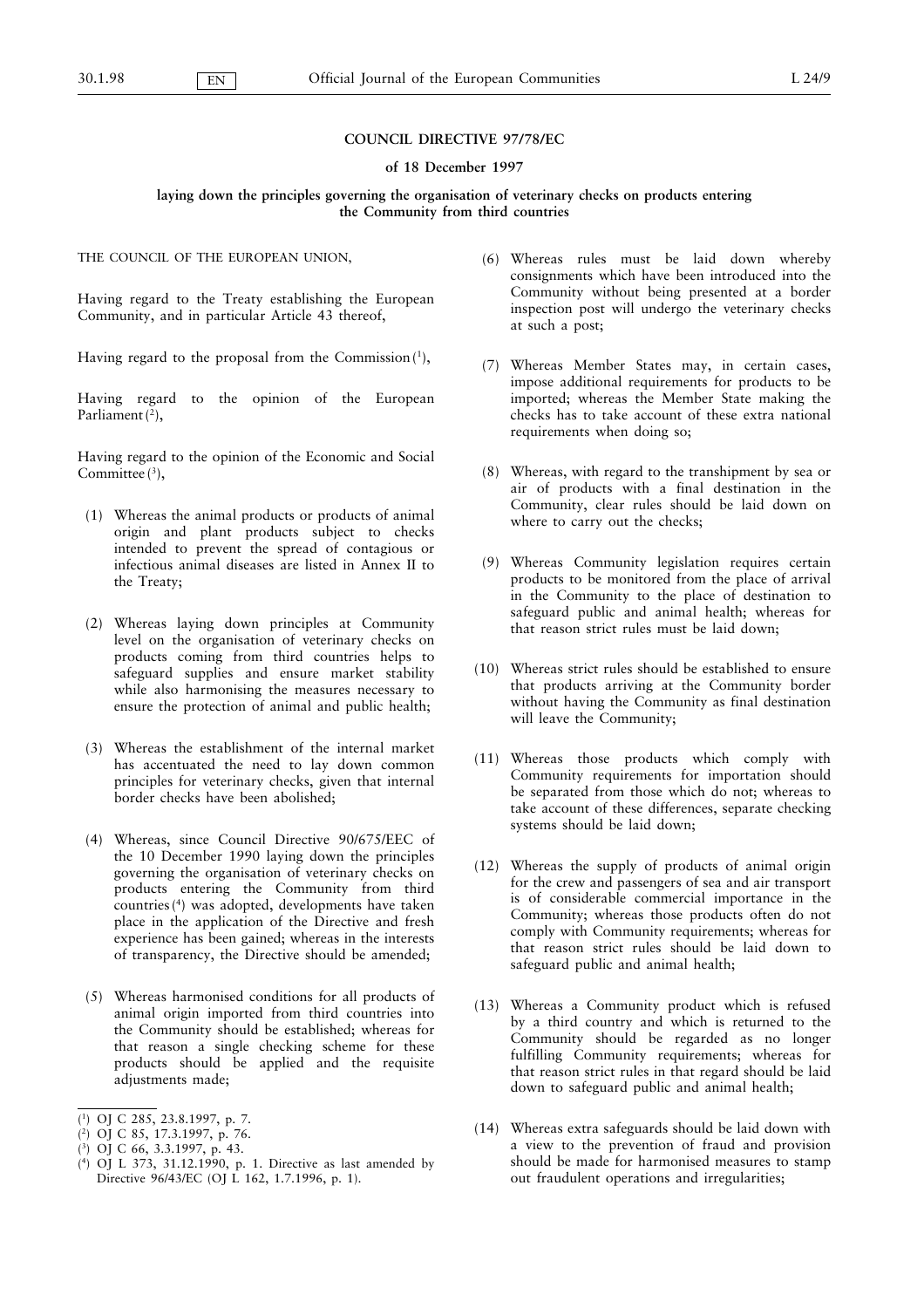# **COUNCIL DIRECTIVE 97/78/EC**

#### **of 18 December 1997**

# **laying down the principles governing the organisation of veterinary checks on products entering the Community from third countries**

THE COUNCIL OF THE EUROPEAN UNION,

Having regard to the Treaty establishing the European Community, and in particular Article 43 thereof,

Having regard to the proposal from the Commission $(1)$ ,

Having regard to the opinion of the European Parliament $(^2)$ ,

Having regard to the opinion of the Economic and Social Committee $(3)$ ,

- (1) Whereas the animal products or products of animal origin and plant products subject to checks intended to prevent the spread of contagious or infectious animal diseases are listed in Annex II to the Treaty;
- (2) Whereas laying down principles at Community level on the organisation of veterinary checks on products coming from third countries helps to safeguard supplies and ensure market stability while also harmonising the measures necessary to ensure the protection of animal and public health;
- (3) Whereas the establishment of the internal market has accentuated the need to lay down common principles for veterinary checks, given that internal border checks have been abolished;
- (4) Whereas, since Council Directive 90/675/EEC of the 10 December 1990 laying down the principles governing the organisation of veterinary checks on products entering the Community from third countries(4 ) was adopted, developments have taken place in the application of the Directive and fresh experience has been gained; whereas in the interests of transparency, the Directive should be amended;
- (5) Whereas harmonised conditions for all products of animal origin imported from third countries into the Community should be established; whereas for that reason a single checking scheme for these products should be applied and the requisite adjustments made;
- (6) Whereas rules must be laid down whereby consignments which have been introduced into the Community without being presented at a border inspection post will undergo the veterinary checks at such a post;
- (7) Whereas Member States may, in certain cases, impose additional requirements for products to be imported; whereas the Member State making the checks has to take account of these extra national requirements when doing so;
- (8) Whereas, with regard to the transhipment by sea or air of products with a final destination in the Community, clear rules should be laid down on where to carry out the checks;
- (9) Whereas Community legislation requires certain products to be monitored from the place of arrival in the Community to the place of destination to safeguard public and animal health; whereas for that reason strict rules must be laid down;
- (10) Whereas strict rules should be established to ensure that products arriving at the Community border without having the Community as final destination will leave the Community;
- (11) Whereas those products which comply with Community requirements for importation should be separated from those which do not; whereas to take account of these differences, separate checking systems should be laid down;
- (12) Whereas the supply of products of animal origin for the crew and passengers of sea and air transport is of considerable commercial importance in the Community; whereas those products often do not comply with Community requirements; whereas for that reason strict rules should be laid down to safeguard public and animal health;
- (13) Whereas a Community product which is refused by a third country and which is returned to the Community should be regarded as no longer fulfilling Community requirements; whereas for that reason strict rules in that regard should be laid down to safeguard public and animal health;
- (14) Whereas extra safeguards should be laid down with a view to the prevention of fraud and provision should be made for harmonised measures to stamp out fraudulent operations and irregularities;

<sup>(</sup> 1) OJ C 285, 23.8.1997, p. 7.

<sup>(</sup> 2 ) OJ C 85, 17.3.1997, p. 76.

<sup>(</sup> 3) OJ C 66, 3.3.1997, p. 43.

<sup>(</sup> 4) OJ L 373, 31.12.1990, p. 1. Directive as last amended by Directive 96/43/EC (OJ L 162, 1.7.1996, p. 1).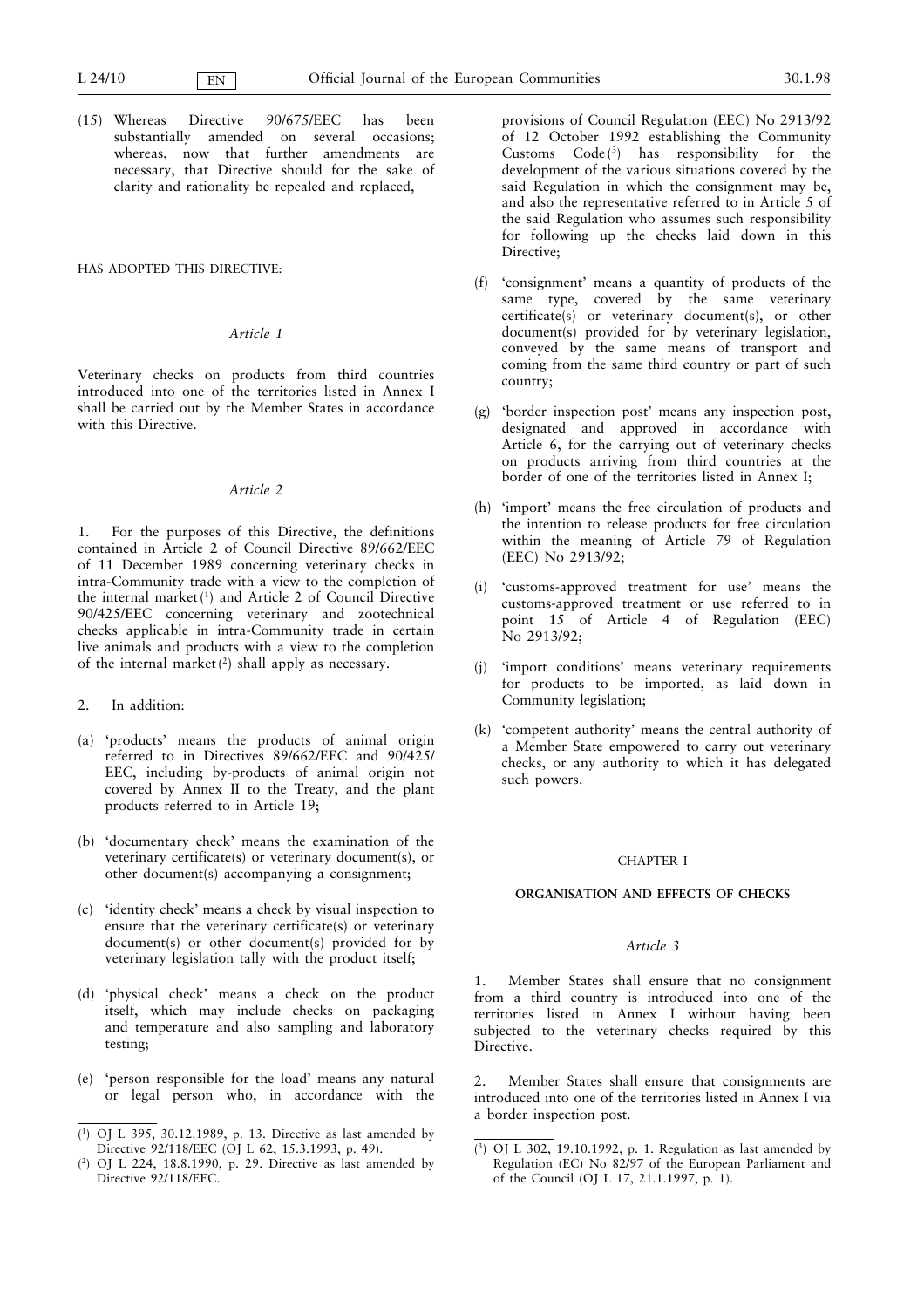(15) Whereas Directive 90/675/EEC has been substantially amended on several occasions; whereas, now that further amendments are necessary, that Directive should for the sake of clarity and rationality be repealed and replaced,

#### HAS ADOPTED THIS DIRECTIVE:

# *Article 1*

Veterinary checks on products from third countries introduced into one of the territories listed in Annex I shall be carried out by the Member States in accordance with this Directive.

# *Article 2*

1. For the purposes of this Directive, the definitions contained in Article 2 of Council Directive 89/662/EEC of 11 December 1989 concerning veterinary checks in intra-Community trade with a view to the completion of the internal market(1 ) and Article 2 of Council Directive 90/425/EEC concerning veterinary and zootechnical checks applicable in intra-Community trade in certain live animals and products with a view to the completion of the internal market $(2)$  shall apply as necessary.

# 2. In addition:

- (a) 'products' means the products of animal origin referred to in Directives 89/662/EEC and 90/425/ EEC, including by-products of animal origin not covered by Annex II to the Treaty, and the plant products referred to in Article 19;
- (b) 'documentary check' means the examination of the veterinary certificate(s) or veterinary document(s), or other document(s) accompanying a consignment;
- (c) 'identity check' means a check by visual inspection to ensure that the veterinary certificate(s) or veterinary document(s) or other document(s) provided for by veterinary legislation tally with the product itself;
- (d) 'physical check' means a check on the product itself, which may include checks on packaging and temperature and also sampling and laboratory testing;
- (e) 'person responsible for the load' means any natural or legal person who, in accordance with the

provisions of Council Regulation (EEC) No 2913/92 of 12 October 1992 establishing the Community Customs  $Code(3)$  has responsibility for the development of the various situations covered by the said Regulation in which the consignment may be, and also the representative referred to in Article 5 of the said Regulation who assumes such responsibility for following up the checks laid down in this Directive;

- (f) 'consignment' means a quantity of products of the same type, covered by the same veterinary certificate(s) or veterinary document(s), or other document(s) provided for by veterinary legislation, conveyed by the same means of transport and coming from the same third country or part of such country;
- (g) 'border inspection post' means any inspection post, designated and approved in accordance with Article 6, for the carrying out of veterinary checks on products arriving from third countries at the border of one of the territories listed in Annex I;
- (h) 'import' means the free circulation of products and the intention to release products for free circulation within the meaning of Article 79 of Regulation (EEC) No 2913/92;
- (i) 'customs-approved treatment for use' means the customs-approved treatment or use referred to in point 15 of Article 4 of Regulation (EEC) No 2913/92;
- (j) 'import conditions' means veterinary requirements for products to be imported, as laid down in Community legislation;
- (k) 'competent authority' means the central authority of a Member State empowered to carry out veterinary checks, or any authority to which it has delegated such powers.

#### CHAPTER I

#### **ORGANISATION AND EFFECTS OF CHECKS**

# *Article 3*

1. Member States shall ensure that no consignment from a third country is introduced into one of the territories listed in Annex I without having been subjected to the veterinary checks required by this Directive.

2. Member States shall ensure that consignments are introduced into one of the territories listed in Annex I via a border inspection post.

<sup>(</sup> 1 ) OJ L 395, 30.12.1989, p. 13. Directive as last amended by Directive 92/118/EEC (OJ L 62, 15.3.1993, p. 49).

<sup>(</sup> 2) OJ L 224, 18.8.1990, p. 29. Directive as last amended by Directive 92/118/EEC.

<sup>(</sup> 3) OJ L 302, 19.10.1992, p. 1. Regulation as last amended by Regulation (EC) No 82/97 of the European Parliament and of the Council (OJ L 17, 21.1.1997, p. 1).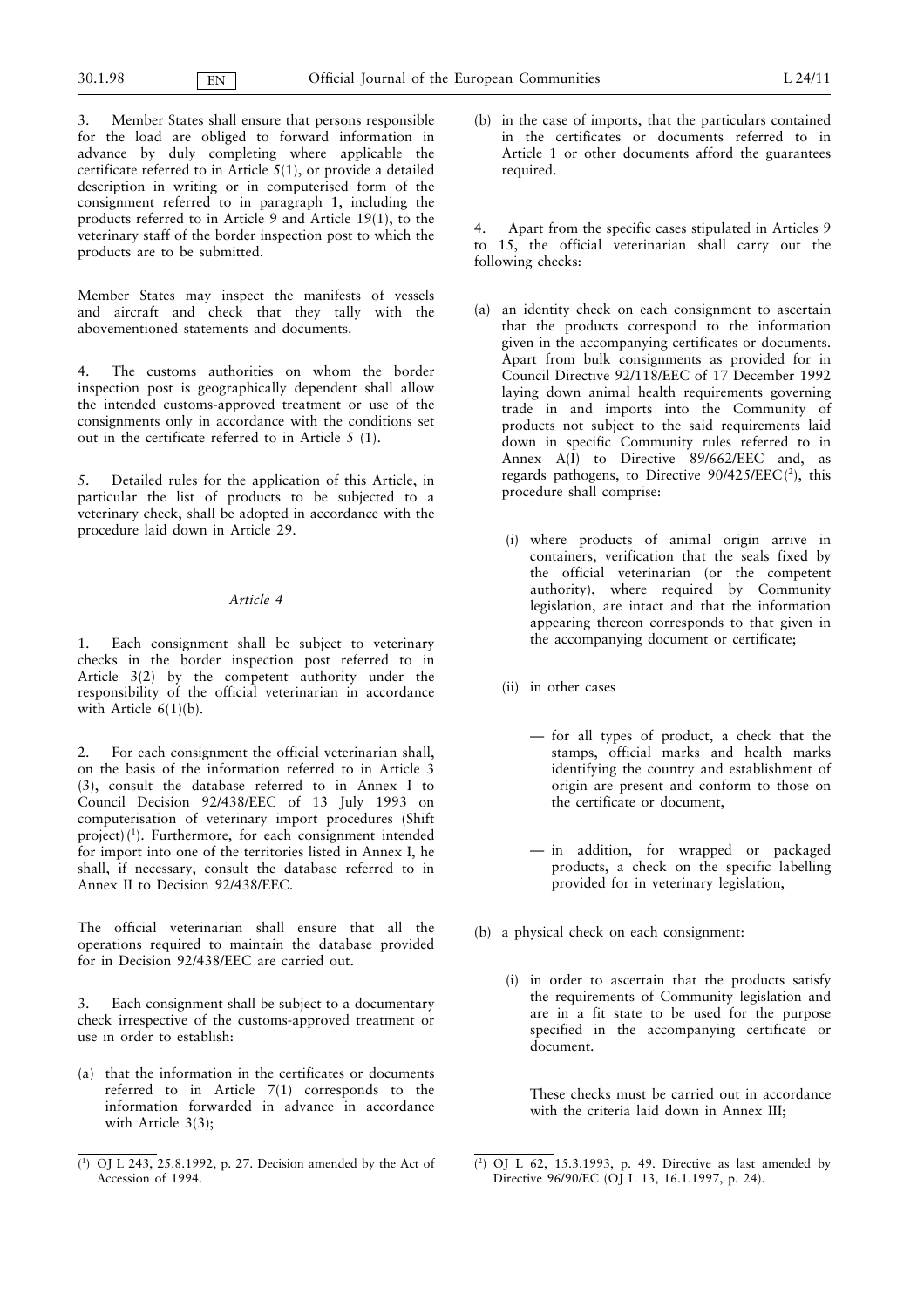3. Member States shall ensure that persons responsible for the load are obliged to forward information in advance by duly completing where applicable the certificate referred to in Article 5(1), or provide a detailed description in writing or in computerised form of the consignment referred to in paragraph 1, including the products referred to in Article 9 and Article 19(1), to the veterinary staff of the border inspection post to which the products are to be submitted.

Member States may inspect the manifests of vessels and aircraft and check that they tally with the abovementioned statements and documents.

4. The customs authorities on whom the border inspection post is geographically dependent shall allow the intended customs-approved treatment or use of the consignments only in accordance with the conditions set out in the certificate referred to in Article 5 (1).

5. Detailed rules for the application of this Article, in particular the list of products to be subjected to a veterinary check, shall be adopted in accordance with the procedure laid down in Article 29.

#### *Article 4*

Each consignment shall be subject to veterinary checks in the border inspection post referred to in Article 3(2) by the competent authority under the responsibility of the official veterinarian in accordance with Article  $6(1)(b)$ .

2. For each consignment the official veterinarian shall, on the basis of the information referred to in Article 3 (3), consult the database referred to in Annex I to Council Decision 92/438/EEC of 13 July 1993 on computerisation of veterinary import procedures (Shift project)<sup>(1</sup>). Furthermore, for each consignment intended for import into one of the territories listed in Annex I, he shall, if necessary, consult the database referred to in Annex II to Decision 92/438/EEC.

The official veterinarian shall ensure that all the operations required to maintain the database provided for in Decision 92/438/EEC are carried out.

3. Each consignment shall be subject to a documentary check irrespective of the customs-approved treatment or use in order to establish:

(a) that the information in the certificates or documents referred to in Article 7(1) corresponds to the information forwarded in advance in accordance with Article 3(3);

(b) in the case of imports, that the particulars contained in the certificates or documents referred to in Article 1 or other documents afford the guarantees required.

4. Apart from the specific cases stipulated in Articles 9 to 15, the official veterinarian shall carry out the following checks:

- (a) an identity check on each consignment to ascertain that the products correspond to the information given in the accompanying certificates or documents. Apart from bulk consignments as provided for in Council Directive 92/118/EEC of 17 December 1992 laying down animal health requirements governing trade in and imports into the Community of products not subject to the said requirements laid down in specific Community rules referred to in Annex A(I) to Directive 89/662/EEC and, as regards pathogens, to Directive  $90/425/EEC(2)$ , this procedure shall comprise:
	- (i) where products of animal origin arrive in containers, verification that the seals fixed by the official veterinarian (or the competent authority), where required by Community legislation, are intact and that the information appearing thereon corresponds to that given in the accompanying document or certificate;
	- (ii) in other cases
		- for all types of product, a check that the stamps, official marks and health marks identifying the country and establishment of origin are present and conform to those on the certificate or document,
		- in addition, for wrapped or packaged products, a check on the specific labelling provided for in veterinary legislation,
- (b) a physical check on each consignment:
	- (i) in order to ascertain that the products satisfy the requirements of Community legislation and are in a fit state to be used for the purpose specified in the accompanying certificate or document.

These checks must be carried out in accordance with the criteria laid down in Annex III;

<sup>(</sup> 1) OJ L 243, 25.8.1992, p. 27. Decision amended by the Act of Accession of 1994.

<sup>(</sup> 2) OJ L 62, 15.3.1993, p. 49. Directive as last amended by Directive 96/90/EC (OJ L 13, 16.1.1997, p. 24).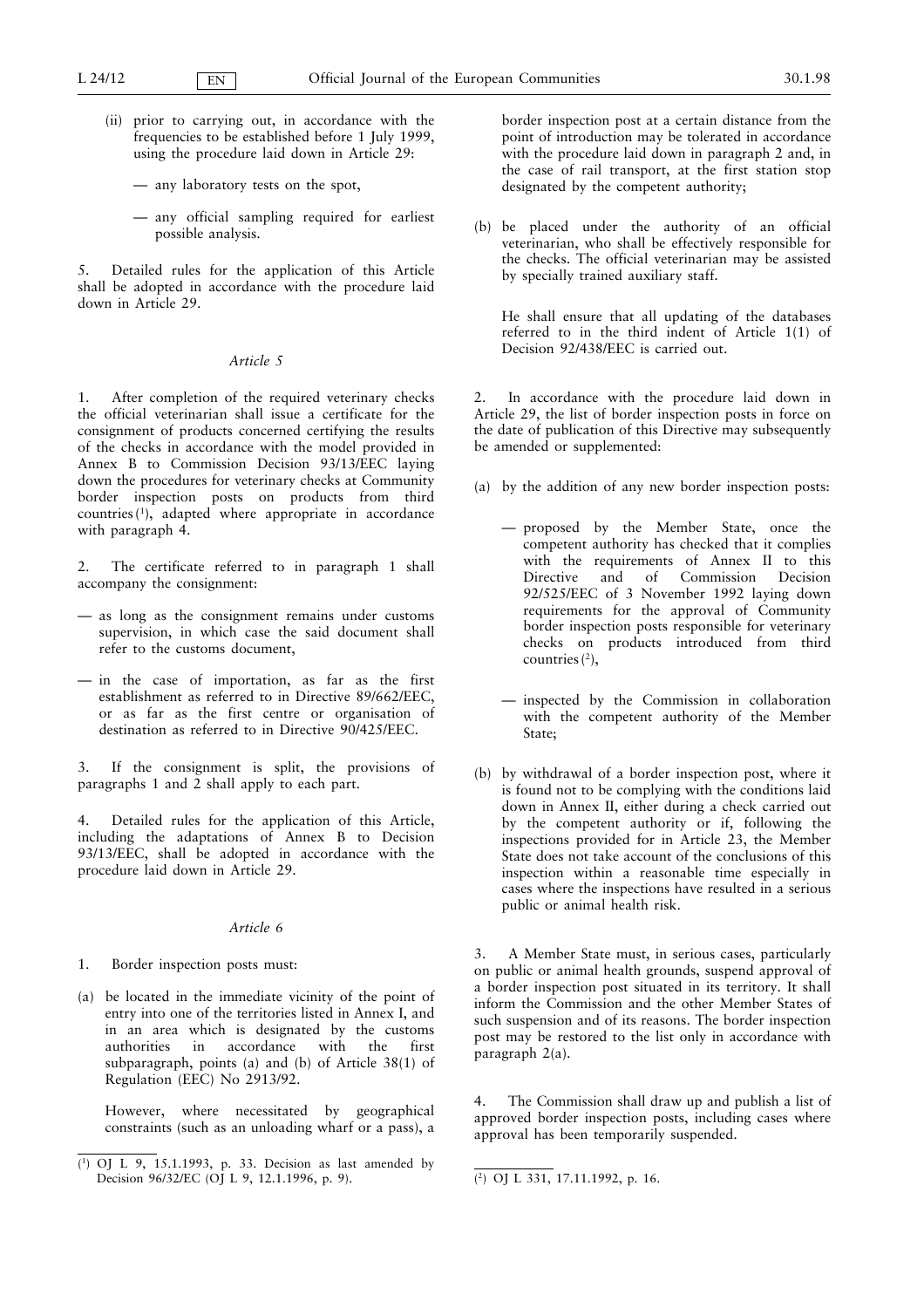- (ii) prior to carrying out, in accordance with the frequencies to be established before 1 July 1999, using the procedure laid down in Article 29:
	- any laboratory tests on the spot,
	- any official sampling required for earliest possible analysis.

5. Detailed rules for the application of this Article shall be adopted in accordance with the procedure laid down in Article 29.

# *Article 5*

1. After completion of the required veterinary checks the official veterinarian shall issue a certificate for the consignment of products concerned certifying the results of the checks in accordance with the model provided in Annex B to Commission Decision 93/13/EEC laying down the procedures for veterinary checks at Community border inspection posts on products from third countries(1 ), adapted where appropriate in accordance with paragraph 4.

2. The certificate referred to in paragraph 1 shall accompany the consignment:

- as long as the consignment remains under customs supervision, in which case the said document shall refer to the customs document,
- in the case of importation, as far as the first establishment as referred to in Directive 89/662/EEC, or as far as the first centre or organisation of destination as referred to in Directive 90/425/EEC.

3. If the consignment is split, the provisions of paragraphs 1 and 2 shall apply to each part.

4. Detailed rules for the application of this Article, including the adaptations of Annex B to Decision 93/13/EEC, shall be adopted in accordance with the procedure laid down in Article 29.

#### *Article 6*

1. Border inspection posts must:

(a) be located in the immediate vicinity of the point of entry into one of the territories listed in Annex I, and in an area which is designated by the customs authorities in accordance with the first subparagraph, points (a) and (b) of Article 38(1) of Regulation (EEC) No 2913/92.

However, where necessitated by geographical constraints (such as an unloading wharf or a pass), a border inspection post at a certain distance from the point of introduction may be tolerated in accordance with the procedure laid down in paragraph 2 and, in the case of rail transport, at the first station stop designated by the competent authority;

(b) be placed under the authority of an official veterinarian, who shall be effectively responsible for the checks. The official veterinarian may be assisted by specially trained auxiliary staff.

He shall ensure that all updating of the databases referred to in the third indent of Article 1(1) of Decision 92/438/EEC is carried out.

2. In accordance with the procedure laid down in Article 29, the list of border inspection posts in force on the date of publication of this Directive may subsequently be amended or supplemented:

- (a) by the addition of any new border inspection posts:
	- proposed by the Member State, once the competent authority has checked that it complies with the requirements of Annex II to this<br>Directive and of Commission Decision and of Commission Decision 92/525/EEC of 3 November 1992 laying down requirements for the approval of Community border inspection posts responsible for veterinary checks on products introduced from third countries  $(2)$ ,
	- inspected by the Commission in collaboration with the competent authority of the Member State;
- (b) by withdrawal of a border inspection post, where it is found not to be complying with the conditions laid down in Annex II, either during a check carried out by the competent authority or if, following the inspections provided for in Article 23, the Member State does not take account of the conclusions of this inspection within a reasonable time especially in cases where the inspections have resulted in a serious public or animal health risk.

3. A Member State must, in serious cases, particularly on public or animal health grounds, suspend approval of a border inspection post situated in its territory. It shall inform the Commission and the other Member States of such suspension and of its reasons. The border inspection post may be restored to the list only in accordance with paragraph 2(a).

4. The Commission shall draw up and publish a list of approved border inspection posts, including cases where approval has been temporarily suspended.

<sup>(</sup> 1) OJ L 9, 15.1.1993, p. 33. Decision as last amended by Decision 96/32/EC (OJ L 9, 12.1.1996, p. 9).

<sup>(</sup> 2) OJ L 331, 17.11.1992, p. 16.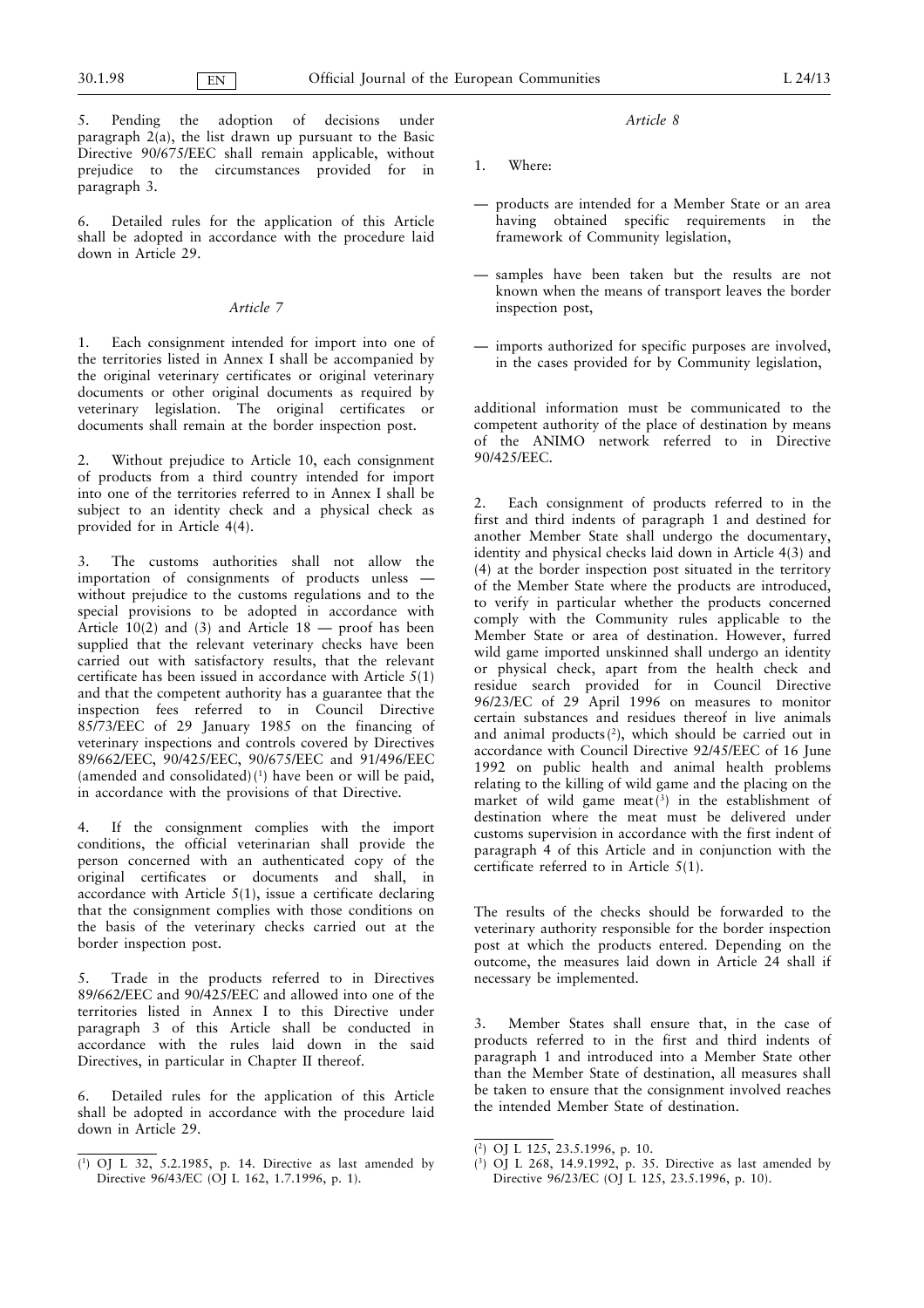5. Pending the adoption of decisions under paragraph 2(a), the list drawn up pursuant to the Basic Directive 90/675/EEC shall remain applicable, without prejudice to the circumstances provided for in paragraph 3.

6. Detailed rules for the application of this Article shall be adopted in accordance with the procedure laid down in Article 29.

# *Article 7*

1. Each consignment intended for import into one of the territories listed in Annex I shall be accompanied by the original veterinary certificates or original veterinary documents or other original documents as required by veterinary legislation. The original certificates or documents shall remain at the border inspection post.

2. Without prejudice to Article 10, each consignment of products from a third country intended for import into one of the territories referred to in Annex I shall be subject to an identity check and a physical check as provided for in Article 4(4).

3. The customs authorities shall not allow the importation of consignments of products unless without prejudice to the customs regulations and to the special provisions to be adopted in accordance with Article  $10(2)$  and  $(3)$  and Article  $18$  — proof has been supplied that the relevant veterinary checks have been carried out with satisfactory results, that the relevant certificate has been issued in accordance with Article 5(1) and that the competent authority has a guarantee that the inspection fees referred to in Council Directive 85/73/EEC of 29 January 1985 on the financing of veterinary inspections and controls covered by Directives 89/662/EEC, 90/425/EEC, 90/675/EEC and 91/496/EEC (amended and consolidated) $(1)$  have been or will be paid, in accordance with the provisions of that Directive.

If the consignment complies with the import conditions, the official veterinarian shall provide the person concerned with an authenticated copy of the original certificates or documents and shall, in accordance with Article 5(1), issue a certificate declaring that the consignment complies with those conditions on the basis of the veterinary checks carried out at the border inspection post.

5. Trade in the products referred to in Directives 89/662/EEC and 90/425/EEC and allowed into one of the territories listed in Annex I to this Directive under paragraph 3 of this Article shall be conducted in accordance with the rules laid down in the said Directives, in particular in Chapter II thereof.

6. Detailed rules for the application of this Article shall be adopted in accordance with the procedure laid down in Article 29.

*Article 8*

Where:

- products are intended for a Member State or an area having obtained specific requirements in the framework of Community legislation,
- samples have been taken but the results are not known when the means of transport leaves the border inspection post,
- imports authorized for specific purposes are involved, in the cases provided for by Community legislation,

additional information must be communicated to the competent authority of the place of destination by means of the ANIMO network referred to in Directive 90/425/EEC.

2. Each consignment of products referred to in the first and third indents of paragraph 1 and destined for another Member State shall undergo the documentary, identity and physical checks laid down in Article 4(3) and (4) at the border inspection post situated in the territory of the Member State where the products are introduced, to verify in particular whether the products concerned comply with the Community rules applicable to the Member State or area of destination. However, furred wild game imported unskinned shall undergo an identity or physical check, apart from the health check and residue search provided for in Council Directive 96/23/EC of 29 April 1996 on measures to monitor certain substances and residues thereof in live animals and animal products $(2)$ , which should be carried out in accordance with Council Directive 92/45/EEC of 16 June 1992 on public health and animal health problems relating to the killing of wild game and the placing on the market of wild game meat $(3)$  in the establishment of destination where the meat must be delivered under customs supervision in accordance with the first indent of paragraph 4 of this Article and in conjunction with the certificate referred to in Article 5(1).

The results of the checks should be forwarded to the veterinary authority responsible for the border inspection post at which the products entered. Depending on the outcome, the measures laid down in Article 24 shall if necessary be implemented.

3. Member States shall ensure that, in the case of products referred to in the first and third indents of paragraph 1 and introduced into a Member State other than the Member State of destination, all measures shall be taken to ensure that the consignment involved reaches the intended Member State of destination.

<sup>(</sup> 1) OJ L 32, 5.2.1985, p. 14. Directive as last amended by Directive 96/43/EC (OJ L 162, 1.7.1996, p. 1).

<sup>(</sup> 2) OJ L 125, 23.5.1996, p. 10.

 $(3)$  OJ L 268, 14.9.1992, p. 35. Directive as last amended by Directive 96/23/EC (OJ L 125, 23.5.1996, p. 10).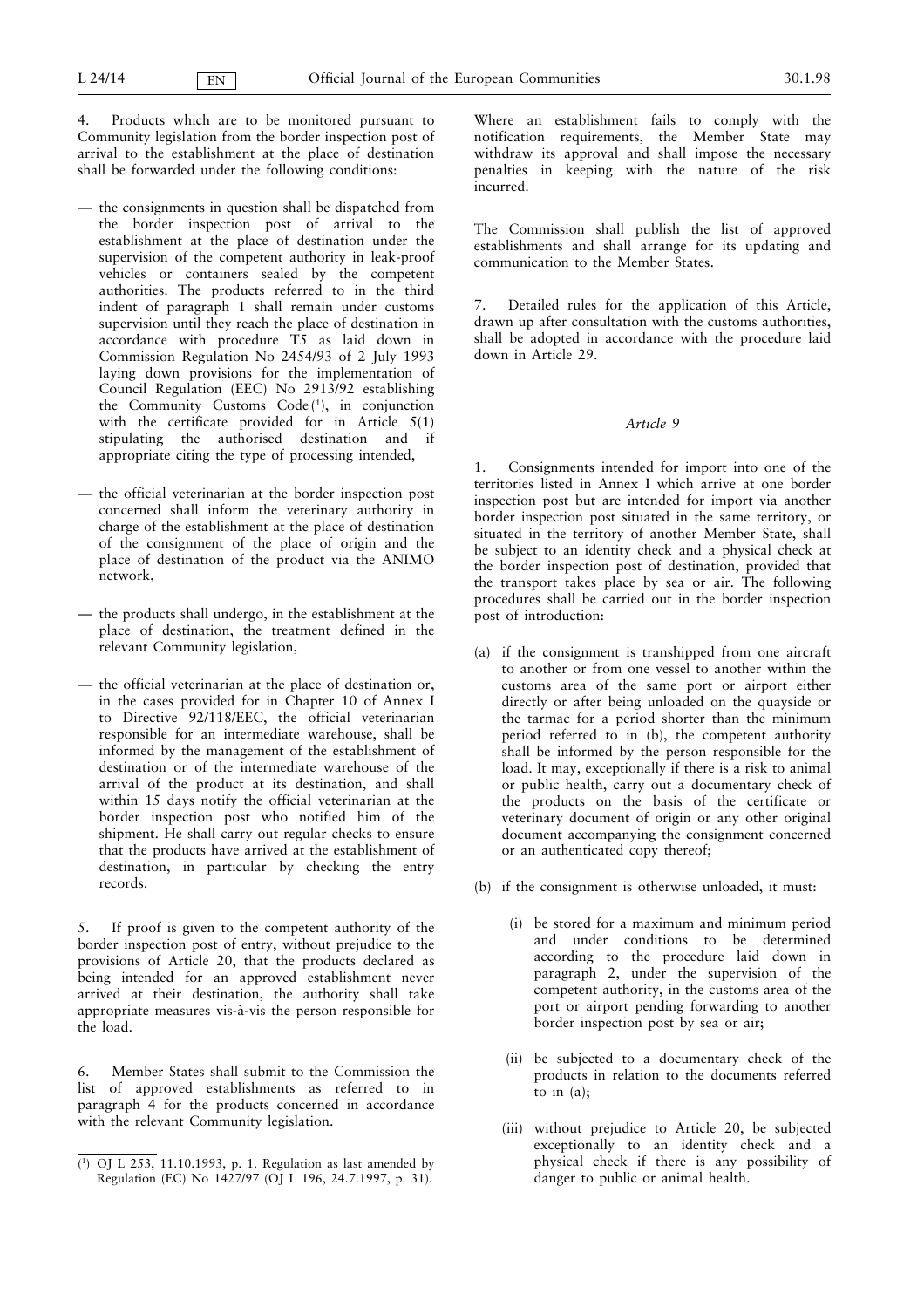4. Products which are to be monitored pursuant to Community legislation from the border inspection post of arrival to the establishment at the place of destination shall be forwarded under the following conditions:

- the consignments in question shall be dispatched from the border inspection post of arrival to the establishment at the place of destination under the supervision of the competent authority in leak-proof vehicles or containers sealed by the competent authorities. The products referred to in the third indent of paragraph 1 shall remain under customs supervision until they reach the place of destination in accordance with procedure T5 as laid down in Commission Regulation No 2454/93 of 2 July 1993 laying down provisions for the implementation of Council Regulation (EEC) No 2913/92 establishing the Community Customs Code(1 ), in conjunction with the certificate provided for in Article 5(1) stipulating the authorised destination and if appropriate citing the type of processing intended,
- the official veterinarian at the border inspection post concerned shall inform the veterinary authority in charge of the establishment at the place of destination of the consignment of the place of origin and the place of destination of the product via the ANIMO network,
- the products shall undergo, in the establishment at the place of destination, the treatment defined in the relevant Community legislation,
- the official veterinarian at the place of destination or, in the cases provided for in Chapter 10 of Annex I to Directive 92/118/EEC, the official veterinarian responsible for an intermediate warehouse, shall be informed by the management of the establishment of destination or of the intermediate warehouse of the arrival of the product at its destination, and shall within 15 days notify the official veterinarian at the border inspection post who notified him of the shipment. He shall carry out regular checks to ensure that the products have arrived at the establishment of destination, in particular by checking the entry records.

5. If proof is given to the competent authority of the border inspection post of entry, without prejudice to the provisions of Article 20, that the products declared as being intended for an approved establishment never arrived at their destination, the authority shall take appropriate measures vis-à-vis the person responsible for the load.

6. Member States shall submit to the Commission the list of approved establishments as referred to in paragraph 4 for the products concerned in accordance with the relevant Community legislation.

Where an establishment fails to comply with the notification requirements, the Member State may withdraw its approval and shall impose the necessary penalties in keeping with the nature of the risk incurred.

The Commission shall publish the list of approved establishments and shall arrange for its updating and communication to the Member States.

7. Detailed rules for the application of this Article, drawn up after consultation with the customs authorities, shall be adopted in accordance with the procedure laid down in Article 29.

# *Article 9*

1. Consignments intended for import into one of the territories listed in Annex I which arrive at one border inspection post but are intended for import via another border inspection post situated in the same territory, or situated in the territory of another Member State, shall be subject to an identity check and a physical check at the border inspection post of destination, provided that the transport takes place by sea or air. The following procedures shall be carried out in the border inspection post of introduction:

- (a) if the consignment is transhipped from one aircraft to another or from one vessel to another within the customs area of the same port or airport either directly or after being unloaded on the quayside or the tarmac for a period shorter than the minimum period referred to in (b), the competent authority shall be informed by the person responsible for the load. It may, exceptionally if there is a risk to animal or public health, carry out a documentary check of the products on the basis of the certificate or veterinary document of origin or any other original document accompanying the consignment concerned or an authenticated copy thereof;
- (b) if the consignment is otherwise unloaded, it must:
	- (i) be stored for a maximum and minimum period and under conditions to be determined according to the procedure laid down in paragraph 2, under the supervision of the competent authority, in the customs area of the port or airport pending forwarding to another border inspection post by sea or air;
	- (ii) be subjected to a documentary check of the products in relation to the documents referred to in (a);
	- (iii) without prejudice to Article 20, be subjected exceptionally to an identity check and a physical check if there is any possibility of danger to public or animal health.

<sup>(</sup> 1) OJ L 253, 11.10.1993, p. 1. Regulation as last amended by Regulation (EC) No 1427/97 (OJ L 196, 24.7.1997, p. 31).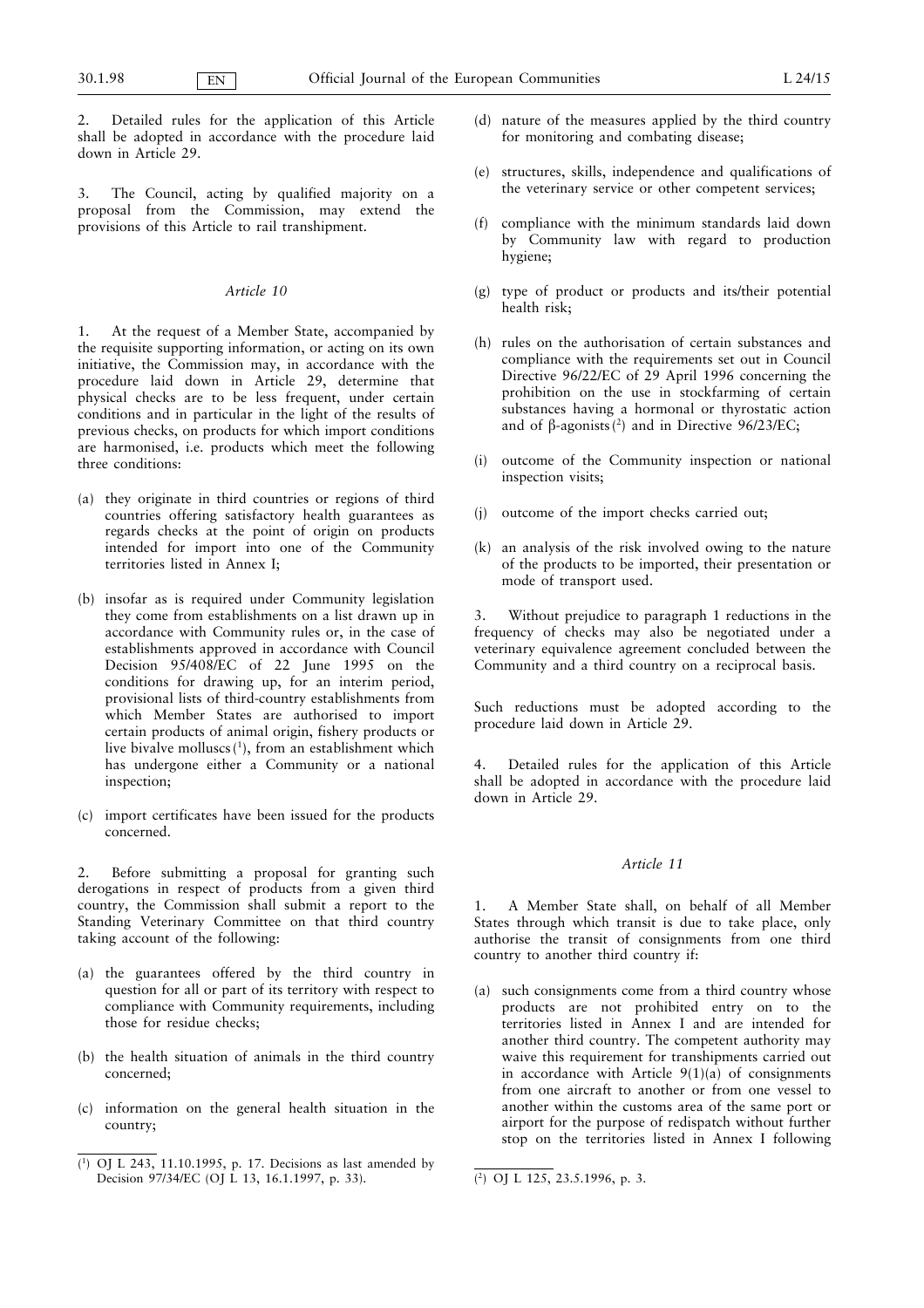Detailed rules for the application of this Article shall be adopted in accordance with the procedure laid down in Article 29.

3. The Council, acting by qualified majority on a proposal from the Commission, may extend the provisions of this Article to rail transhipment.

# *Article 10*

1. At the request of a Member State, accompanied by the requisite supporting information, or acting on its own initiative, the Commission may, in accordance with the procedure laid down in Article 29, determine that physical checks are to be less frequent, under certain conditions and in particular in the light of the results of previous checks, on products for which import conditions are harmonised, i.e. products which meet the following three conditions:

- (a) they originate in third countries or regions of third countries offering satisfactory health guarantees as regards checks at the point of origin on products intended for import into one of the Community territories listed in Annex I;
- (b) insofar as is required under Community legislation they come from establishments on a list drawn up in accordance with Community rules or, in the case of establishments approved in accordance with Council Decision 95/408/EC of 22 June 1995 on the conditions for drawing up, for an interim period, provisional lists of third-country establishments from which Member States are authorised to import certain products of animal origin, fishery products or live bivalve molluscs $(1)$ , from an establishment which has undergone either a Community or a national inspection;
- (c) import certificates have been issued for the products concerned.

2. Before submitting a proposal for granting such derogations in respect of products from a given third country, the Commission shall submit a report to the Standing Veterinary Committee on that third country taking account of the following:

- (a) the guarantees offered by the third country in question for all or part of its territory with respect to compliance with Community requirements, including those for residue checks;
- (b) the health situation of animals in the third country concerned;
- (c) information on the general health situation in the country;
- (d) nature of the measures applied by the third country for monitoring and combating disease;
- (e) structures, skills, independence and qualifications of the veterinary service or other competent services;
- (f) compliance with the minimum standards laid down by Community law with regard to production hygiene;
- (g) type of product or products and its/their potential health risk;
- (h) rules on the authorisation of certain substances and compliance with the requirements set out in Council Directive 96/22/EC of 29 April 1996 concerning the prohibition on the use in stockfarming of certain substances having a hormonal or thyrostatic action and of  $\beta$ -agonists(<sup>2</sup>) and in Directive 96/23/EC;
- (i) outcome of the Community inspection or national inspection visits;
- (j) outcome of the import checks carried out;
- (k) an analysis of the risk involved owing to the nature of the products to be imported, their presentation or mode of transport used.

3. Without prejudice to paragraph 1 reductions in the frequency of checks may also be negotiated under a veterinary equivalence agreement concluded between the Community and a third country on a reciprocal basis.

Such reductions must be adopted according to the procedure laid down in Article 29.

Detailed rules for the application of this Article shall be adopted in accordance with the procedure laid down in Article 29.

#### *Article 11*

1. A Member State shall, on behalf of all Member States through which transit is due to take place, only authorise the transit of consignments from one third country to another third country if:

(a) such consignments come from a third country whose products are not prohibited entry on to the territories listed in Annex I and are intended for another third country. The competent authority may waive this requirement for transhipments carried out in accordance with Article  $9(1)(a)$  of consignments from one aircraft to another or from one vessel to another within the customs area of the same port or airport for the purpose of redispatch without further stop on the territories listed in Annex I following

<sup>(</sup> 1) OJ L 243, 11.10.1995, p. 17. Decisions as last amended by Decision 97/34/EC (OJ L 13, 16.1.1997, p. 33).

<sup>(</sup> 2) OJ L 125, 23.5.1996, p. 3.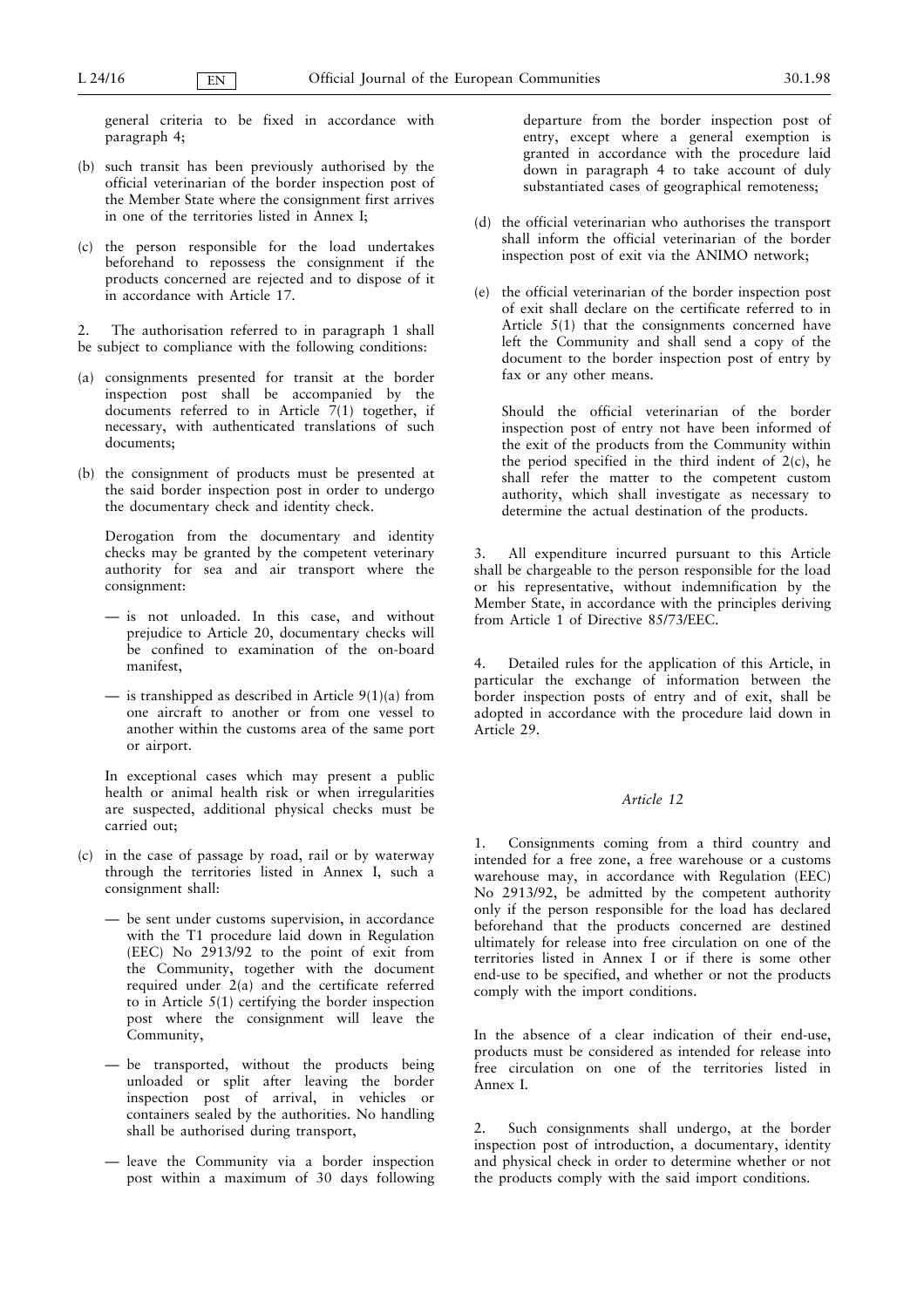general criteria to be fixed in accordance with paragraph 4;

- (b) such transit has been previously authorised by the official veterinarian of the border inspection post of the Member State where the consignment first arrives in one of the territories listed in Annex I;
- (c) the person responsible for the load undertakes beforehand to repossess the consignment if the products concerned are rejected and to dispose of it in accordance with Article 17.
- 2. The authorisation referred to in paragraph 1 shall be subject to compliance with the following conditions:
- (a) consignments presented for transit at the border inspection post shall be accompanied by the documents referred to in Article 7(1) together, if necessary, with authenticated translations of such documents;
- (b) the consignment of products must be presented at the said border inspection post in order to undergo the documentary check and identity check.

Derogation from the documentary and identity checks may be granted by the competent veterinary authority for sea and air transport where the consignment:

- is not unloaded. In this case, and without prejudice to Article 20, documentary checks will be confined to examination of the on-board manifest,
- is transhipped as described in Article  $9(1)(a)$  from one aircraft to another or from one vessel to another within the customs area of the same port or airport.

In exceptional cases which may present a public health or animal health risk or when irregularities are suspected, additional physical checks must be carried out;

- (c) in the case of passage by road, rail or by waterway through the territories listed in Annex I, such a consignment shall:
	- be sent under customs supervision, in accordance with the T1 procedure laid down in Regulation (EEC) No 2913/92 to the point of exit from the Community, together with the document required under 2(a) and the certificate referred to in Article 5(1) certifying the border inspection post where the consignment will leave the Community,
	- be transported, without the products being unloaded or split after leaving the border inspection post of arrival, in vehicles or containers sealed by the authorities. No handling shall be authorised during transport,
	- leave the Community via a border inspection post within a maximum of 30 days following

departure from the border inspection post of entry, except where a general exemption is granted in accordance with the procedure laid down in paragraph 4 to take account of duly substantiated cases of geographical remoteness;

- (d) the official veterinarian who authorises the transport shall inform the official veterinarian of the border inspection post of exit via the ANIMO network;
- (e) the official veterinarian of the border inspection post of exit shall declare on the certificate referred to in Article 5(1) that the consignments concerned have left the Community and shall send a copy of the document to the border inspection post of entry by fax or any other means.

Should the official veterinarian of the border inspection post of entry not have been informed of the exit of the products from the Community within the period specified in the third indent of  $2(c)$ , he shall refer the matter to the competent custom authority, which shall investigate as necessary to determine the actual destination of the products.

3. All expenditure incurred pursuant to this Article shall be chargeable to the person responsible for the load or his representative, without indemnification by the Member State, in accordance with the principles deriving from Article 1 of Directive 85/73/EEC.

4. Detailed rules for the application of this Article, in particular the exchange of information between the border inspection posts of entry and of exit, shall be adopted in accordance with the procedure laid down in Article 29.

# *Article 12*

1. Consignments coming from a third country and intended for a free zone, a free warehouse or a customs warehouse may, in accordance with Regulation (EEC) No 2913/92, be admitted by the competent authority only if the person responsible for the load has declared beforehand that the products concerned are destined ultimately for release into free circulation on one of the territories listed in Annex I or if there is some other end-use to be specified, and whether or not the products comply with the import conditions.

In the absence of a clear indication of their end-use, products must be considered as intended for release into free circulation on one of the territories listed in Annex I.

2. Such consignments shall undergo, at the border inspection post of introduction, a documentary, identity and physical check in order to determine whether or not the products comply with the said import conditions.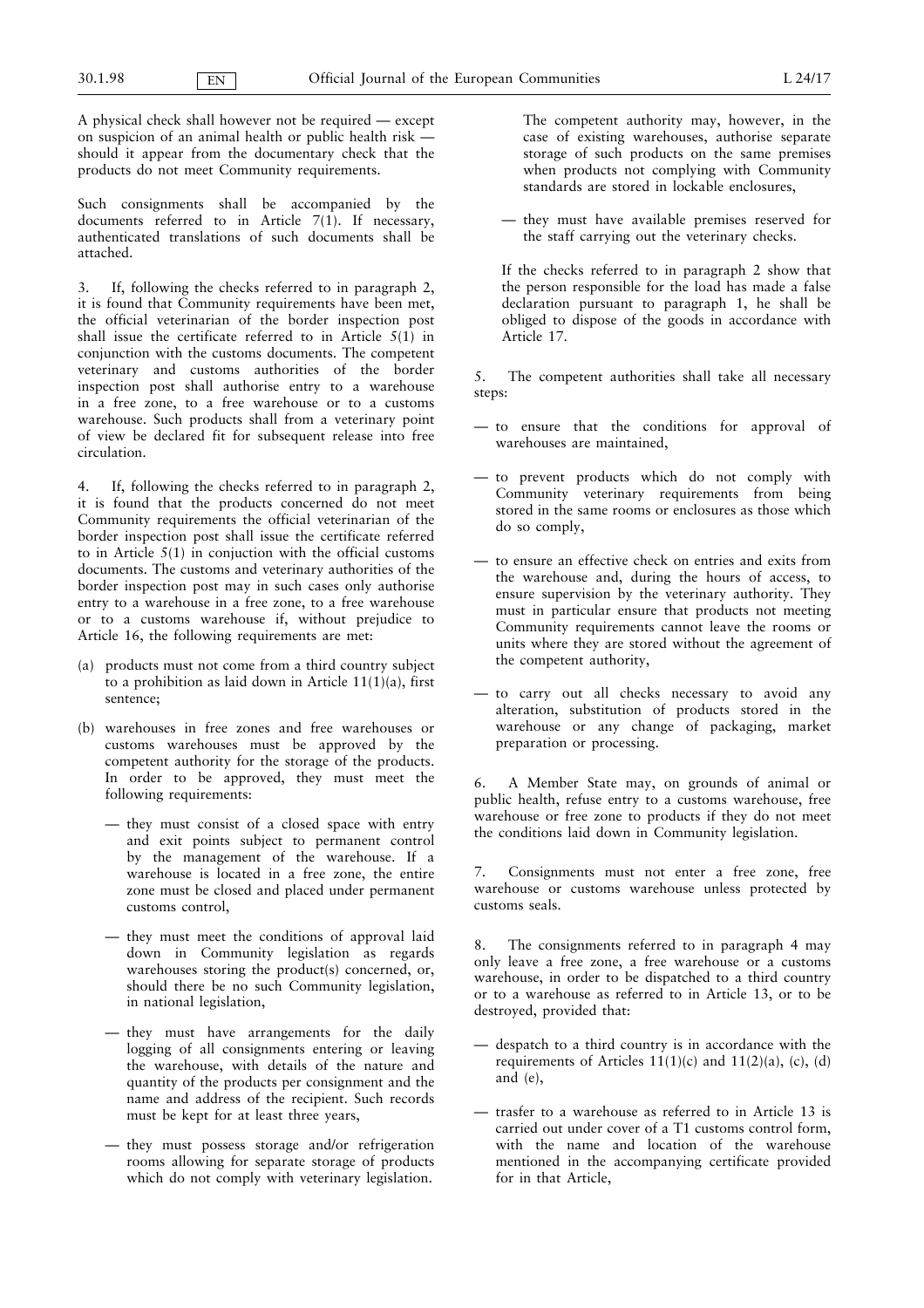A physical check shall however not be required — except on suspicion of an animal health or public health risk should it appear from the documentary check that the products do not meet Community requirements.

Such consignments shall be accompanied by the documents referred to in Article 7(1). If necessary, authenticated translations of such documents shall be attached.

3. If, following the checks referred to in paragraph 2, it is found that Community requirements have been met, the official veterinarian of the border inspection post shall issue the certificate referred to in Article  $5(1)$  in conjunction with the customs documents. The competent veterinary and customs authorities of the border inspection post shall authorise entry to a warehouse in a free zone, to a free warehouse or to a customs warehouse. Such products shall from a veterinary point of view be declared fit for subsequent release into free circulation.

4. If, following the checks referred to in paragraph 2, it is found that the products concerned do not meet Community requirements the official veterinarian of the border inspection post shall issue the certificate referred to in Article  $5(1)$  in conjuction with the official customs documents. The customs and veterinary authorities of the border inspection post may in such cases only authorise entry to a warehouse in a free zone, to a free warehouse or to a customs warehouse if, without prejudice to Article 16, the following requirements are met:

- (a) products must not come from a third country subject to a prohibition as laid down in Article  $11(1)(a)$ , first sentence;
- (b) warehouses in free zones and free warehouses or customs warehouses must be approved by the competent authority for the storage of the products. In order to be approved, they must meet the following requirements:
	- they must consist of a closed space with entry and exit points subject to permanent control by the management of the warehouse. If a warehouse is located in a free zone, the entire zone must be closed and placed under permanent customs control,
	- they must meet the conditions of approval laid down in Community legislation as regards warehouses storing the product(s) concerned, or, should there be no such Community legislation, in national legislation,
	- they must have arrangements for the daily logging of all consignments entering or leaving the warehouse, with details of the nature and quantity of the products per consignment and the name and address of the recipient. Such records must be kept for at least three years,
	- they must possess storage and/or refrigeration rooms allowing for separate storage of products which do not comply with veterinary legislation.

The competent authority may, however, in the case of existing warehouses, authorise separate storage of such products on the same premises when products not complying with Community standards are stored in lockable enclosures,

— they must have available premises reserved for the staff carrying out the veterinary checks.

If the checks referred to in paragraph 2 show that the person responsible for the load has made a false declaration pursuant to paragraph 1, he shall be obliged to dispose of the goods in accordance with Article 17.

5. The competent authorities shall take all necessary steps:

- to ensure that the conditions for approval of warehouses are maintained,
- to prevent products which do not comply with Community veterinary requirements from being stored in the same rooms or enclosures as those which do so comply,
- to ensure an effective check on entries and exits from the warehouse and, during the hours of access, to ensure supervision by the veterinary authority. They must in particular ensure that products not meeting Community requirements cannot leave the rooms or units where they are stored without the agreement of the competent authority,
- to carry out all checks necessary to avoid any alteration, substitution of products stored in the warehouse or any change of packaging, market preparation or processing.

6. A Member State may, on grounds of animal or public health, refuse entry to a customs warehouse, free warehouse or free zone to products if they do not meet the conditions laid down in Community legislation.

7. Consignments must not enter a free zone, free warehouse or customs warehouse unless protected by customs seals.

8. The consignments referred to in paragraph 4 may only leave a free zone, a free warehouse or a customs warehouse, in order to be dispatched to a third country or to a warehouse as referred to in Article 13, or to be destroyed, provided that:

- despatch to a third country is in accordance with the requirements of Articles  $11(1)(c)$  and  $11(2)(a)$ ,  $(c)$ ,  $(d)$ and (e),
- trasfer to a warehouse as referred to in Article 13 is carried out under cover of a T1 customs control form, with the name and location of the warehouse mentioned in the accompanying certificate provided for in that Article,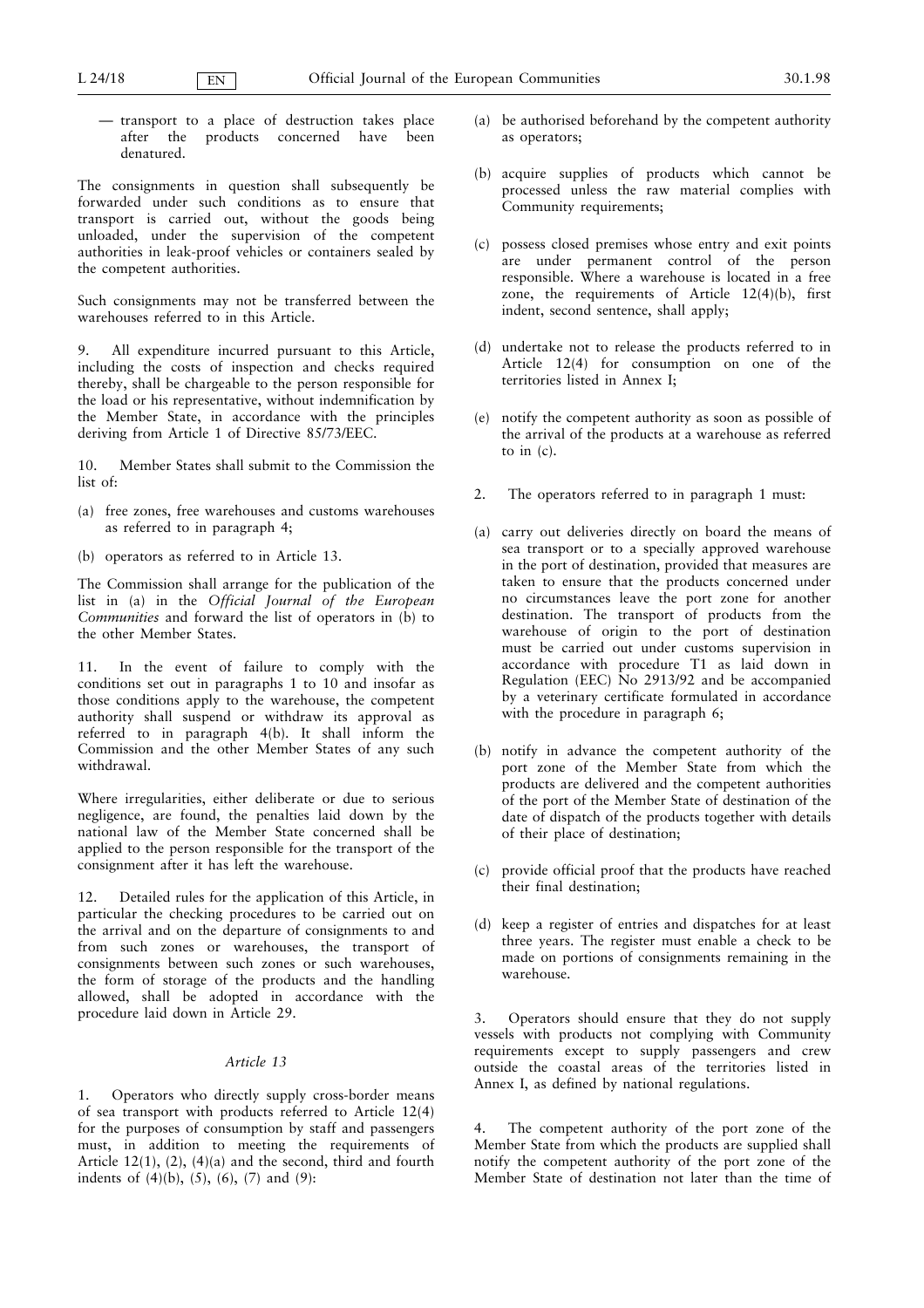— transport to a place of destruction takes place after the products concerned have been denatured.

The consignments in question shall subsequently be forwarded under such conditions as to ensure that transport is carried out, without the goods being unloaded, under the supervision of the competent authorities in leak-proof vehicles or containers sealed by the competent authorities.

Such consignments may not be transferred between the warehouses referred to in this Article.

9. All expenditure incurred pursuant to this Article, including the costs of inspection and checks required thereby, shall be chargeable to the person responsible for the load or his representative, without indemnification by the Member State, in accordance with the principles deriving from Article 1 of Directive 85/73/EEC.

10. Member States shall submit to the Commission the list of:

- (a) free zones, free warehouses and customs warehouses as referred to in paragraph 4;
- (b) operators as referred to in Article 13.

The Commission shall arrange for the publication of the list in (a) in the *Official Journal of the European Communities* and forward the list of operators in (b) to the other Member States.

11. In the event of failure to comply with the conditions set out in paragraphs 1 to 10 and insofar as those conditions apply to the warehouse, the competent authority shall suspend or withdraw its approval as referred to in paragraph 4(b). It shall inform the Commission and the other Member States of any such withdrawal.

Where irregularities, either deliberate or due to serious negligence, are found, the penalties laid down by the national law of the Member State concerned shall be applied to the person responsible for the transport of the consignment after it has left the warehouse.

12. Detailed rules for the application of this Article, in particular the checking procedures to be carried out on the arrival and on the departure of consignments to and from such zones or warehouses, the transport of consignments between such zones or such warehouses, the form of storage of the products and the handling allowed, shall be adopted in accordance with the procedure laid down in Article 29.

# *Article 13*

Operators who directly supply cross-border means of sea transport with products referred to Article 12(4) for the purposes of consumption by staff and passengers must, in addition to meeting the requirements of Article 12(1), (2), (4)(a) and the second, third and fourth indents of  $(4)(b)$ ,  $(5)$ ,  $(6)$ ,  $(7)$  and  $(9)$ :

- (a) be authorised beforehand by the competent authority as operators;
- (b) acquire supplies of products which cannot be processed unless the raw material complies with Community requirements;
- (c) possess closed premises whose entry and exit points are under permanent control of the person responsible. Where a warehouse is located in a free zone, the requirements of Article 12(4)(b), first indent, second sentence, shall apply;
- (d) undertake not to release the products referred to in Article 12(4) for consumption on one of the territories listed in Annex I;
- (e) notify the competent authority as soon as possible of the arrival of the products at a warehouse as referred to in (c).
- 2. The operators referred to in paragraph 1 must:
- (a) carry out deliveries directly on board the means of sea transport or to a specially approved warehouse in the port of destination, provided that measures are taken to ensure that the products concerned under no circumstances leave the port zone for another destination. The transport of products from the warehouse of origin to the port of destination must be carried out under customs supervision in accordance with procedure T1 as laid down in Regulation (EEC) No 2913/92 and be accompanied by a veterinary certificate formulated in accordance with the procedure in paragraph 6;
- (b) notify in advance the competent authority of the port zone of the Member State from which the products are delivered and the competent authorities of the port of the Member State of destination of the date of dispatch of the products together with details of their place of destination;
- (c) provide official proof that the products have reached their final destination;
- (d) keep a register of entries and dispatches for at least three years. The register must enable a check to be made on portions of consignments remaining in the warehouse.

Operators should ensure that they do not supply vessels with products not complying with Community requirements except to supply passengers and crew outside the coastal areas of the territories listed in Annex I, as defined by national regulations.

4. The competent authority of the port zone of the Member State from which the products are supplied shall notify the competent authority of the port zone of the Member State of destination not later than the time of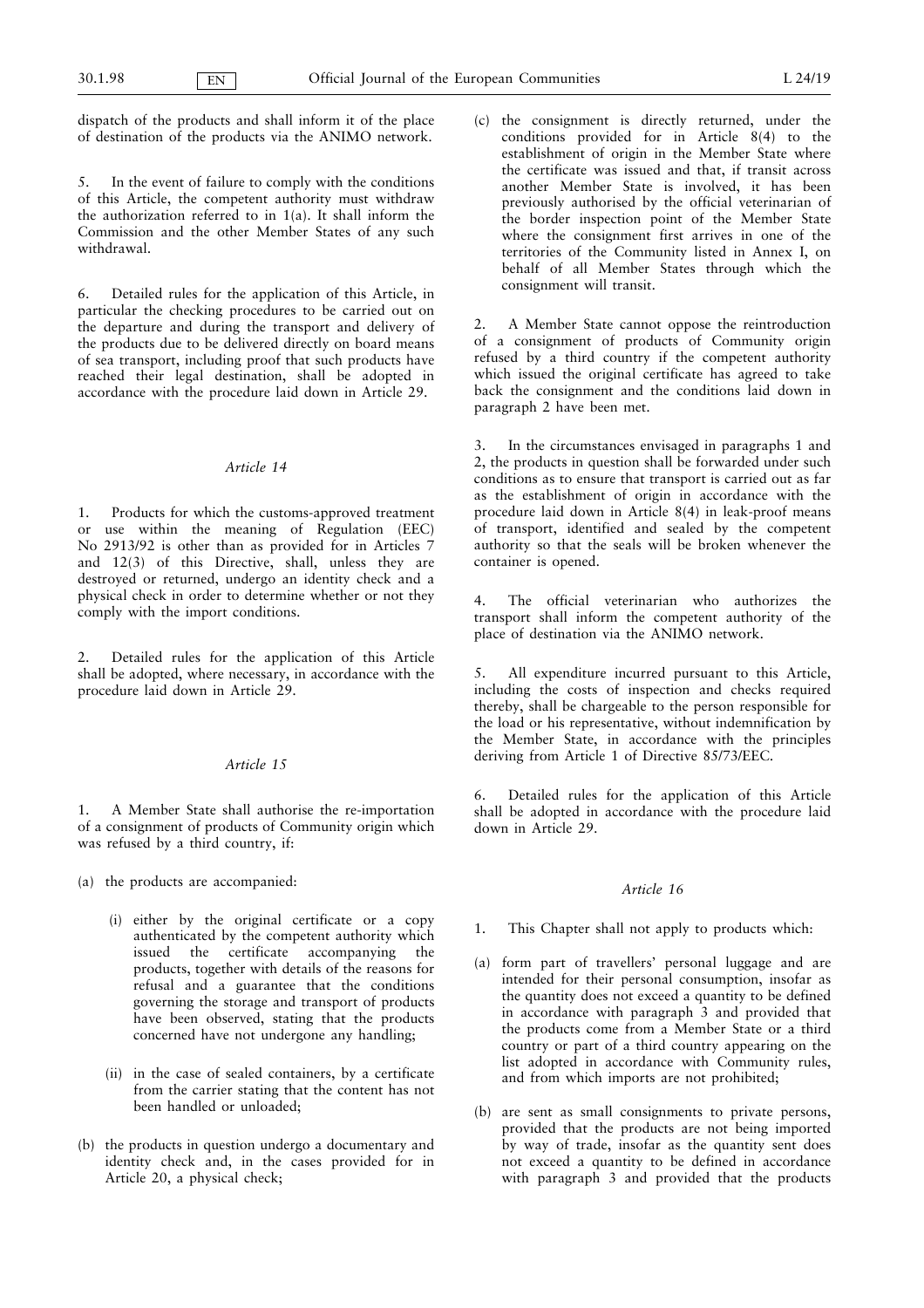dispatch of the products and shall inform it of the place of destination of the products via the ANIMO network.

5. In the event of failure to comply with the conditions of this Article, the competent authority must withdraw the authorization referred to in 1(a). It shall inform the Commission and the other Member States of any such withdrawal.

6. Detailed rules for the application of this Article, in particular the checking procedures to be carried out on the departure and during the transport and delivery of the products due to be delivered directly on board means of sea transport, including proof that such products have reached their legal destination, shall be adopted in accordance with the procedure laid down in Article 29.

# *Article 14*

1. Products for which the customs-approved treatment or use within the meaning of Regulation (EEC) No 2913/92 is other than as provided for in Articles 7 and 12(3) of this Directive, shall, unless they are destroyed or returned, undergo an identity check and a physical check in order to determine whether or not they comply with the import conditions.

2. Detailed rules for the application of this Article shall be adopted, where necessary, in accordance with the procedure laid down in Article 29.

#### *Article 15*

1. A Member State shall authorise the re-importation of a consignment of products of Community origin which was refused by a third country, if:

- (a) the products are accompanied:
	- (i) either by the original certificate or a copy authenticated by the competent authority which issued the certificate accompanying the products, together with details of the reasons for refusal and a guarantee that the conditions governing the storage and transport of products have been observed, stating that the products concerned have not undergone any handling;
	- (ii) in the case of sealed containers, by a certificate from the carrier stating that the content has not been handled or unloaded;
- (b) the products in question undergo a documentary and identity check and, in the cases provided for in Article 20, a physical check;

(c) the consignment is directly returned, under the conditions provided for in Article 8(4) to the establishment of origin in the Member State where the certificate was issued and that, if transit across another Member State is involved, it has been previously authorised by the official veterinarian of the border inspection point of the Member State where the consignment first arrives in one of the territories of the Community listed in Annex I, on behalf of all Member States through which the consignment will transit.

2. A Member State cannot oppose the reintroduction of a consignment of products of Community origin refused by a third country if the competent authority which issued the original certificate has agreed to take back the consignment and the conditions laid down in paragraph 2 have been met.

3. In the circumstances envisaged in paragraphs 1 and 2, the products in question shall be forwarded under such conditions as to ensure that transport is carried out as far as the establishment of origin in accordance with the procedure laid down in Article 8(4) in leak-proof means of transport, identified and sealed by the competent authority so that the seals will be broken whenever the container is opened.

4. The official veterinarian who authorizes the transport shall inform the competent authority of the place of destination via the ANIMO network.

5. All expenditure incurred pursuant to this Article, including the costs of inspection and checks required thereby, shall be chargeable to the person responsible for the load or his representative, without indemnification by the Member State, in accordance with the principles deriving from Article 1 of Directive 85/73/EEC.

6. Detailed rules for the application of this Article shall be adopted in accordance with the procedure laid down in Article 29.

#### *Article 16*

- 1. This Chapter shall not apply to products which:
- (a) form part of travellers' personal luggage and are intended for their personal consumption, insofar as the quantity does not exceed a quantity to be defined in accordance with paragraph 3 and provided that the products come from a Member State or a third country or part of a third country appearing on the list adopted in accordance with Community rules, and from which imports are not prohibited;
- (b) are sent as small consignments to private persons, provided that the products are not being imported by way of trade, insofar as the quantity sent does not exceed a quantity to be defined in accordance with paragraph 3 and provided that the products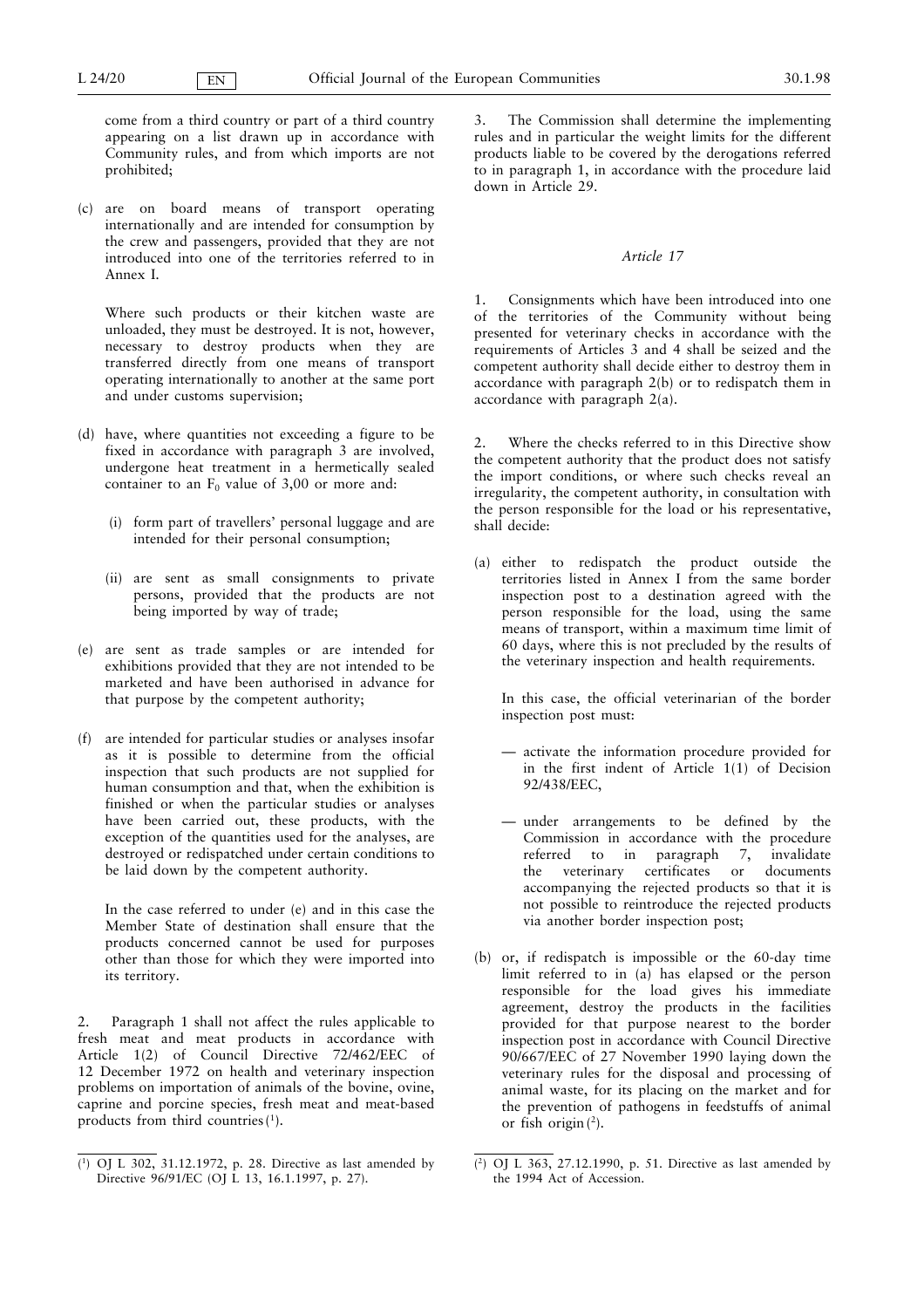come from a third country or part of a third country appearing on a list drawn up in accordance with Community rules, and from which imports are not prohibited;

(c) are on board means of transport operating internationally and are intended for consumption by the crew and passengers, provided that they are not introduced into one of the territories referred to in Annex I.

Where such products or their kitchen waste are unloaded, they must be destroyed. It is not, however, necessary to destroy products when they are transferred directly from one means of transport operating internationally to another at the same port and under customs supervision;

- (d) have, where quantities not exceeding a figure to be fixed in accordance with paragraph 3 are involved, undergone heat treatment in a hermetically sealed container to an  $F_0$  value of 3,00 or more and:
	- (i) form part of travellers' personal luggage and are intended for their personal consumption;
	- (ii) are sent as small consignments to private persons, provided that the products are not being imported by way of trade;
- (e) are sent as trade samples or are intended for exhibitions provided that they are not intended to be marketed and have been authorised in advance for that purpose by the competent authority;
- (f) are intended for particular studies or analyses insofar as it is possible to determine from the official inspection that such products are not supplied for human consumption and that, when the exhibition is finished or when the particular studies or analyses have been carried out, these products, with the exception of the quantities used for the analyses, are destroyed or redispatched under certain conditions to be laid down by the competent authority.

In the case referred to under (e) and in this case the Member State of destination shall ensure that the products concerned cannot be used for purposes other than those for which they were imported into its territory.

2. Paragraph 1 shall not affect the rules applicable to fresh meat and meat products in accordance with Article 1(2) of Council Directive 72/462/EEC of 12 December 1972 on health and veterinary inspection problems on importation of animals of the bovine, ovine, caprine and porcine species, fresh meat and meat-based products from third countries<sup>(1)</sup>.

3. The Commission shall determine the implementing rules and in particular the weight limits for the different products liable to be covered by the derogations referred to in paragraph 1, in accordance with the procedure laid down in Article 29.

#### *Article 17*

Consignments which have been introduced into one of the territories of the Community without being presented for veterinary checks in accordance with the requirements of Articles 3 and 4 shall be seized and the competent authority shall decide either to destroy them in accordance with paragraph 2(b) or to redispatch them in accordance with paragraph 2(a).

2. Where the checks referred to in this Directive show the competent authority that the product does not satisfy the import conditions, or where such checks reveal an irregularity, the competent authority, in consultation with the person responsible for the load or his representative, shall decide:

(a) either to redispatch the product outside the territories listed in Annex I from the same border inspection post to a destination agreed with the person responsible for the load, using the same means of transport, within a maximum time limit of 60 days, where this is not precluded by the results of the veterinary inspection and health requirements.

In this case, the official veterinarian of the border inspection post must:

- activate the information procedure provided for in the first indent of Article 1(1) of Decision 92/438/EEC,
- under arrangements to be defined by the Commission in accordance with the procedure referred to in paragraph 7, invalidate the veterinary certificates or documents accompanying the rejected products so that it is not possible to reintroduce the rejected products via another border inspection post;
- (b) or, if redispatch is impossible or the 60-day time limit referred to in (a) has elapsed or the person responsible for the load gives his immediate agreement, destroy the products in the facilities provided for that purpose nearest to the border inspection post in accordance with Council Directive 90/667/EEC of 27 November 1990 laying down the veterinary rules for the disposal and processing of animal waste, for its placing on the market and for the prevention of pathogens in feedstuffs of animal or fish origin(2 ).

<sup>(</sup> 1) OJ L 302, 31.12.1972, p. 28. Directive as last amended by Directive 96/91/EC (OJ L 13, 16.1.1997, p. 27).

<sup>(</sup> 2) OJ L 363, 27.12.1990, p. 51. Directive as last amended by the 1994 Act of Accession.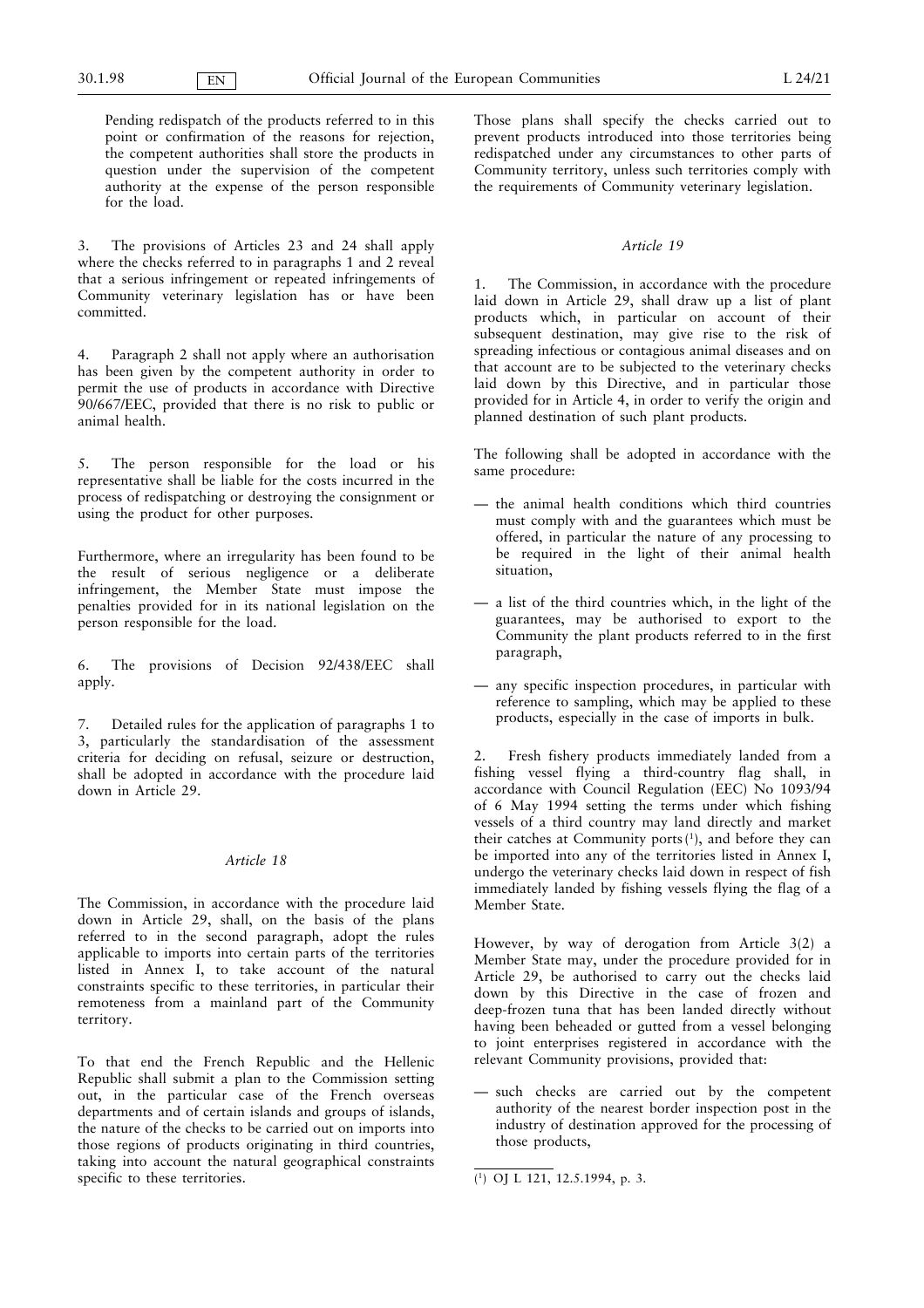Pending redispatch of the products referred to in this point or confirmation of the reasons for rejection, the competent authorities shall store the products in question under the supervision of the competent authority at the expense of the person responsible for the load.

3. The provisions of Articles 23 and 24 shall apply where the checks referred to in paragraphs 1 and 2 reveal that a serious infringement or repeated infringements of Community veterinary legislation has or have been committed.

4. Paragraph 2 shall not apply where an authorisation has been given by the competent authority in order to permit the use of products in accordance with Directive 90/667/EEC, provided that there is no risk to public or animal health.

5. The person responsible for the load or his representative shall be liable for the costs incurred in the process of redispatching or destroying the consignment or using the product for other purposes.

Furthermore, where an irregularity has been found to be the result of serious negligence or a deliberate infringement, the Member State must impose the penalties provided for in its national legislation on the person responsible for the load.

6. The provisions of Decision 92/438/EEC shall apply.

7. Detailed rules for the application of paragraphs 1 to 3, particularly the standardisation of the assessment criteria for deciding on refusal, seizure or destruction, shall be adopted in accordance with the procedure laid down in Article 29.

# *Article 18*

The Commission, in accordance with the procedure laid down in Article 29, shall, on the basis of the plans referred to in the second paragraph, adopt the rules applicable to imports into certain parts of the territories listed in Annex I, to take account of the natural constraints specific to these territories, in particular their remoteness from a mainland part of the Community territory.

To that end the French Republic and the Hellenic Republic shall submit a plan to the Commission setting out, in the particular case of the French overseas departments and of certain islands and groups of islands, the nature of the checks to be carried out on imports into those regions of products originating in third countries, taking into account the natural geographical constraints specific to these territories.

Those plans shall specify the checks carried out to prevent products introduced into those territories being redispatched under any circumstances to other parts of Community territory, unless such territories comply with the requirements of Community veterinary legislation.

# *Article 19*

1. The Commission, in accordance with the procedure laid down in Article 29, shall draw up a list of plant products which, in particular on account of their subsequent destination, may give rise to the risk of spreading infectious or contagious animal diseases and on that account are to be subjected to the veterinary checks laid down by this Directive, and in particular those provided for in Article 4, in order to verify the origin and planned destination of such plant products.

The following shall be adopted in accordance with the same procedure:

- the animal health conditions which third countries must comply with and the guarantees which must be offered, in particular the nature of any processing to be required in the light of their animal health situation,
- a list of the third countries which, in the light of the guarantees, may be authorised to export to the Community the plant products referred to in the first paragraph,
- any specific inspection procedures, in particular with reference to sampling, which may be applied to these products, especially in the case of imports in bulk.

2. Fresh fishery products immediately landed from a fishing vessel flying a third-country flag shall, in accordance with Council Regulation (EEC) No 1093/94 of 6 May 1994 setting the terms under which fishing vessels of a third country may land directly and market their catches at Community ports $(1)$ , and before they can be imported into any of the territories listed in Annex I, undergo the veterinary checks laid down in respect of fish immediately landed by fishing vessels flying the flag of a Member State.

However, by way of derogation from Article 3(2) a Member State may, under the procedure provided for in Article 29, be authorised to carry out the checks laid down by this Directive in the case of frozen and deep-frozen tuna that has been landed directly without having been beheaded or gutted from a vessel belonging to joint enterprises registered in accordance with the relevant Community provisions, provided that:

— such checks are carried out by the competent authority of the nearest border inspection post in the industry of destination approved for the processing of those products,

<sup>(</sup> 1) OJ L 121, 12.5.1994, p. 3.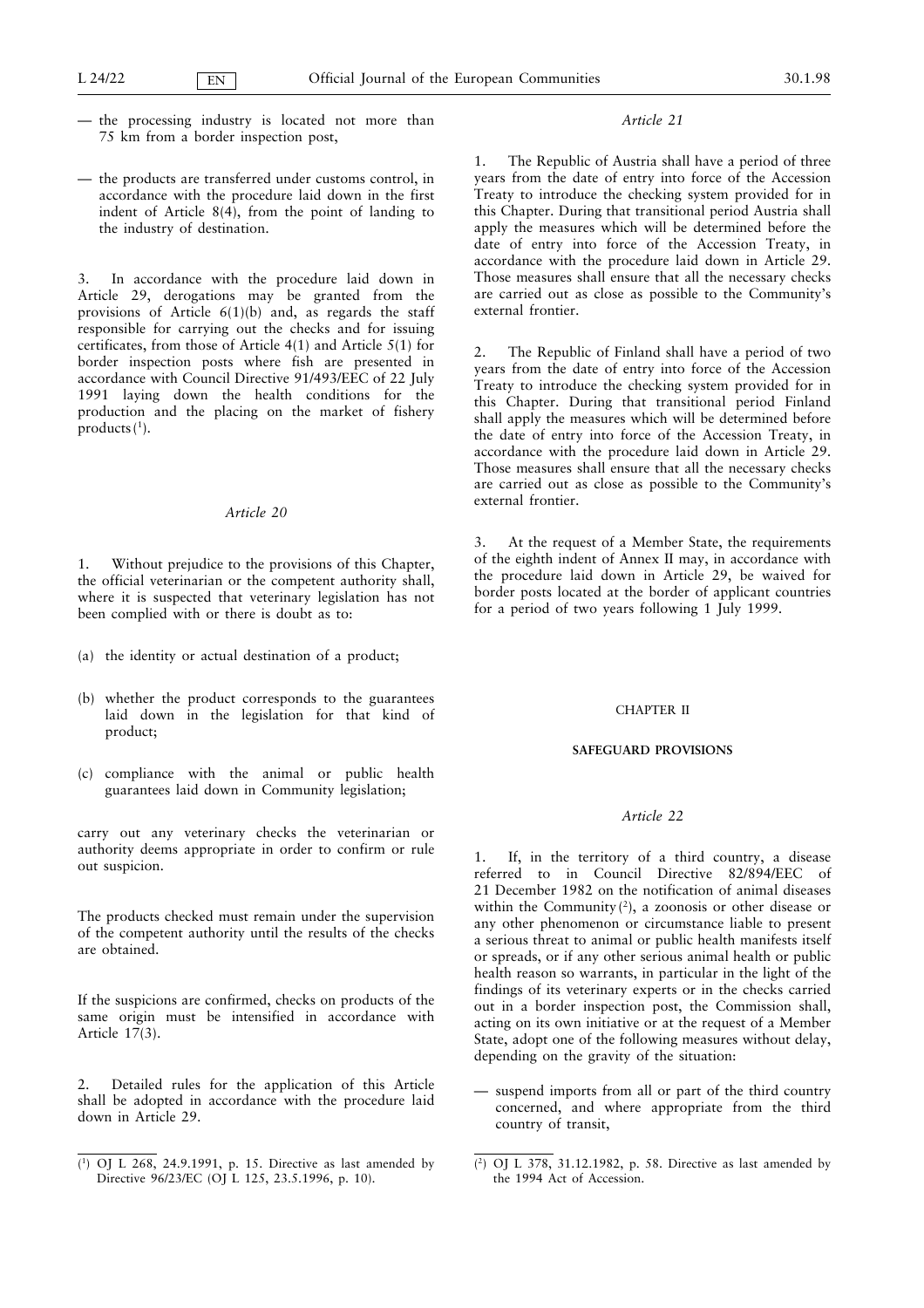- the processing industry is located not more than 75 km from a border inspection post,
- the products are transferred under customs control, in accordance with the procedure laid down in the first indent of Article  $8(4)$ , from the point of landing to the industry of destination.

3. In accordance with the procedure laid down in Article 29, derogations may be granted from the provisions of Article 6(1)(b) and, as regards the staff responsible for carrying out the checks and for issuing certificates, from those of Article 4(1) and Article 5(1) for border inspection posts where fish are presented in accordance with Council Directive 91/493/EEC of 22 July 1991 laying down the health conditions for the production and the placing on the market of fishery products $(1)$ .

#### *Article 20*

1. Without prejudice to the provisions of this Chapter, the official veterinarian or the competent authority shall, where it is suspected that veterinary legislation has not been complied with or there is doubt as to:

- (a) the identity or actual destination of a product;
- (b) whether the product corresponds to the guarantees laid down in the legislation for that kind of product;
- (c) compliance with the animal or public health guarantees laid down in Community legislation;

carry out any veterinary checks the veterinarian or authority deems appropriate in order to confirm or rule out suspicion.

The products checked must remain under the supervision of the competent authority until the results of the checks are obtained.

If the suspicions are confirmed, checks on products of the same origin must be intensified in accordance with Article 17(3).

2. Detailed rules for the application of this Article shall be adopted in accordance with the procedure laid down in Article 29.

# *Article 21*

The Republic of Austria shall have a period of three years from the date of entry into force of the Accession Treaty to introduce the checking system provided for in this Chapter. During that transitional period Austria shall apply the measures which will be determined before the date of entry into force of the Accession Treaty, in accordance with the procedure laid down in Article 29. Those measures shall ensure that all the necessary checks are carried out as close as possible to the Community's external frontier.

2. The Republic of Finland shall have a period of two years from the date of entry into force of the Accession Treaty to introduce the checking system provided for in this Chapter. During that transitional period Finland shall apply the measures which will be determined before the date of entry into force of the Accession Treaty, in accordance with the procedure laid down in Article 29. Those measures shall ensure that all the necessary checks are carried out as close as possible to the Community's external frontier.

3. At the request of a Member State, the requirements of the eighth indent of Annex II may, in accordance with the procedure laid down in Article 29, be waived for border posts located at the border of applicant countries for a period of two years following 1 July 1999.

# CHAPTER II

#### **SAFEGUARD PROVISIONS**

#### *Article 22*

1. If, in the territory of a third country, a disease referred to in Council Directive 82/894/EEC of 21 December 1982 on the notification of animal diseases within the Community<sup>(2</sup>), a zoonosis or other disease or any other phenomenon or circumstance liable to present a serious threat to animal or public health manifests itself or spreads, or if any other serious animal health or public health reason so warrants, in particular in the light of the findings of its veterinary experts or in the checks carried out in a border inspection post, the Commission shall, acting on its own initiative or at the request of a Member State, adopt one of the following measures without delay, depending on the gravity of the situation:

— suspend imports from all or part of the third country concerned, and where appropriate from the third country of transit,

<sup>(</sup> 1) OJ L 268, 24.9.1991, p. 15. Directive as last amended by Directive 96/23/EC (OJ L 125, 23.5.1996, p. 10).

<sup>(</sup> 2) OJ L 378, 31.12.1982, p. 58. Directive as last amended by the 1994 Act of Accession.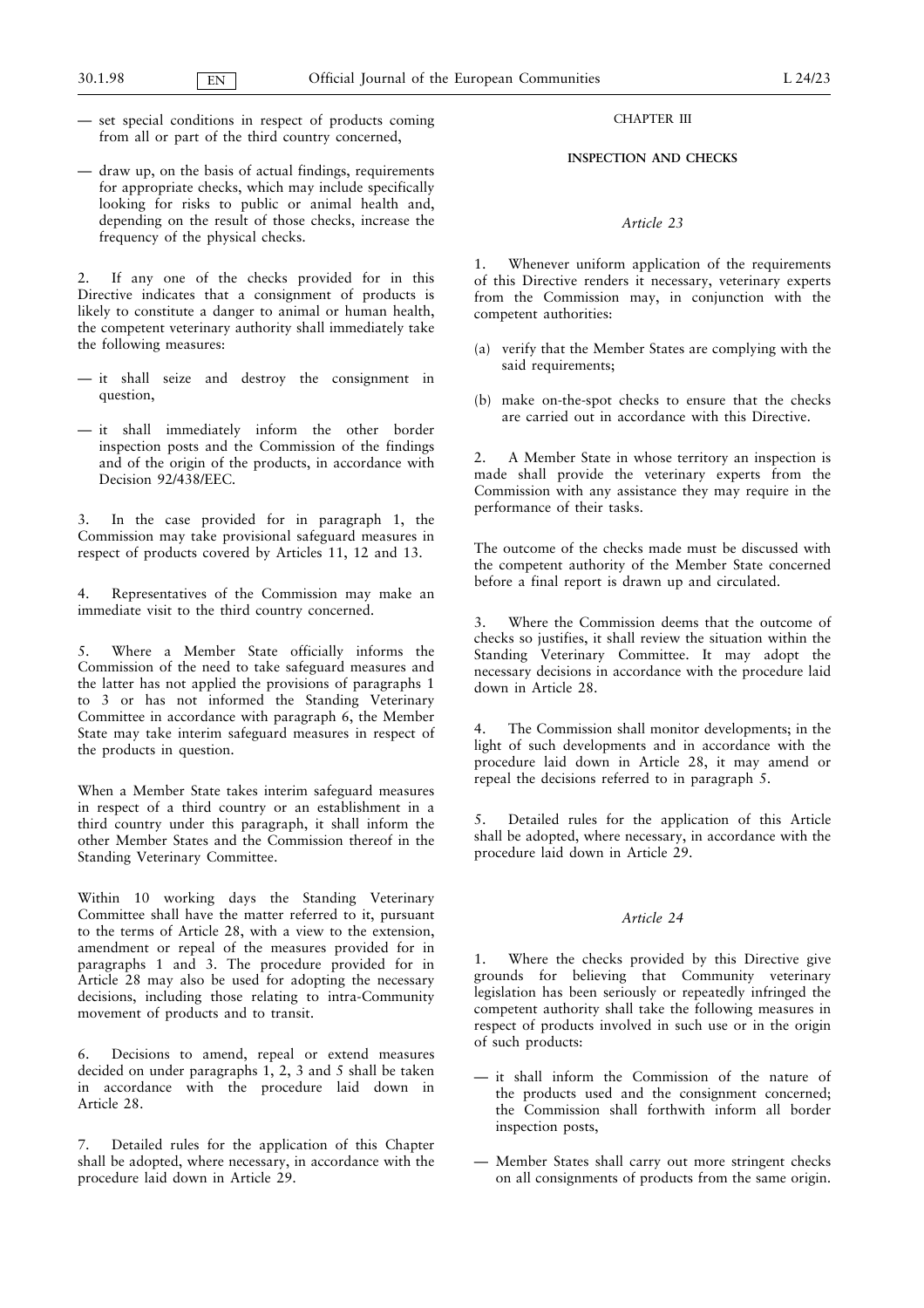- set special conditions in respect of products coming from all or part of the third country concerned,
- draw up, on the basis of actual findings, requirements for appropriate checks, which may include specifically looking for risks to public or animal health and, depending on the result of those checks, increase the frequency of the physical checks.

If any one of the checks provided for in this Directive indicates that a consignment of products is likely to constitute a danger to animal or human health, the competent veterinary authority shall immediately take the following measures:

- it shall seize and destroy the consignment in question,
- it shall immediately inform the other border inspection posts and the Commission of the findings and of the origin of the products, in accordance with Decision 92/438/EEC.

3. In the case provided for in paragraph 1, the Commission may take provisional safeguard measures in respect of products covered by Articles 11, 12 and 13.

4. Representatives of the Commission may make an immediate visit to the third country concerned.

5. Where a Member State officially informs the Commission of the need to take safeguard measures and the latter has not applied the provisions of paragraphs 1 to 3 or has not informed the Standing Veterinary Committee in accordance with paragraph 6, the Member State may take interim safeguard measures in respect of the products in question.

When a Member State takes interim safeguard measures in respect of a third country or an establishment in a third country under this paragraph, it shall inform the other Member States and the Commission thereof in the Standing Veterinary Committee.

Within 10 working days the Standing Veterinary Committee shall have the matter referred to it, pursuant to the terms of Article 28, with a view to the extension, amendment or repeal of the measures provided for in paragraphs 1 and 3. The procedure provided for in Article 28 may also be used for adopting the necessary decisions, including those relating to intra-Community movement of products and to transit.

6. Decisions to amend, repeal or extend measures decided on under paragraphs 1, 2, 3 and 5 shall be taken in accordance with the procedure laid down in Article 28.

7. Detailed rules for the application of this Chapter shall be adopted, where necessary, in accordance with the procedure laid down in Article 29.

#### CHAPTER III

## **INSPECTION AND CHECKS**

#### *Article 23*

1. Whenever uniform application of the requirements of this Directive renders it necessary, veterinary experts from the Commission may, in conjunction with the competent authorities:

- (a) verify that the Member States are complying with the said requirements;
- (b) make on-the-spot checks to ensure that the checks are carried out in accordance with this Directive.

2. A Member State in whose territory an inspection is made shall provide the veterinary experts from the Commission with any assistance they may require in the performance of their tasks.

The outcome of the checks made must be discussed with the competent authority of the Member State concerned before a final report is drawn up and circulated.

3. Where the Commission deems that the outcome of checks so justifies, it shall review the situation within the Standing Veterinary Committee. It may adopt the necessary decisions in accordance with the procedure laid down in Article 28.

4. The Commission shall monitor developments; in the light of such developments and in accordance with the procedure laid down in Article 28, it may amend or repeal the decisions referred to in paragraph 5.

5. Detailed rules for the application of this Article shall be adopted, where necessary, in accordance with the procedure laid down in Article 29.

# *Article 24*

1. Where the checks provided by this Directive give grounds for believing that Community veterinary legislation has been seriously or repeatedly infringed the competent authority shall take the following measures in respect of products involved in such use or in the origin of such products:

- it shall inform the Commission of the nature of the products used and the consignment concerned; the Commission shall forthwith inform all border inspection posts,
- Member States shall carry out more stringent checks on all consignments of products from the same origin.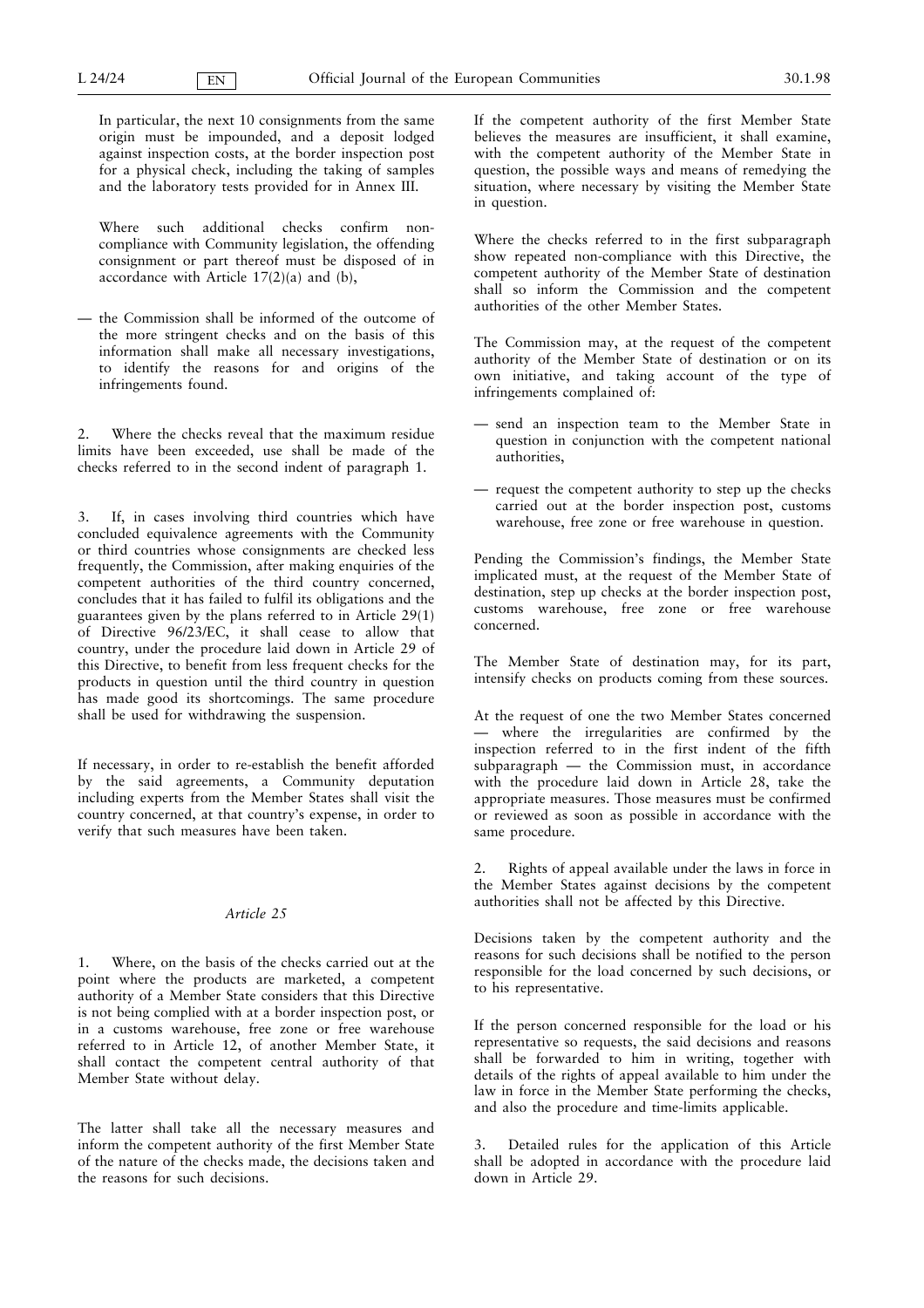In particular, the next 10 consignments from the same origin must be impounded, and a deposit lodged against inspection costs, at the border inspection post for a physical check, including the taking of samples and the laboratory tests provided for in Annex III.

Where such additional checks confirm noncompliance with Community legislation, the offending consignment or part thereof must be disposed of in accordance with Article 17(2)(a) and (b),

— the Commission shall be informed of the outcome of the more stringent checks and on the basis of this information shall make all necessary investigations, to identify the reasons for and origins of the infringements found.

2. Where the checks reveal that the maximum residue limits have been exceeded, use shall be made of the checks referred to in the second indent of paragraph 1.

3. If, in cases involving third countries which have concluded equivalence agreements with the Community or third countries whose consignments are checked less frequently, the Commission, after making enquiries of the competent authorities of the third country concerned, concludes that it has failed to fulfil its obligations and the guarantees given by the plans referred to in Article 29(1) of Directive 96/23/EC, it shall cease to allow that country, under the procedure laid down in Article 29 of this Directive, to benefit from less frequent checks for the products in question until the third country in question has made good its shortcomings. The same procedure shall be used for withdrawing the suspension.

If necessary, in order to re-establish the benefit afforded by the said agreements, a Community deputation including experts from the Member States shall visit the country concerned, at that country's expense, in order to verify that such measures have been taken.

#### *Article 25*

Where, on the basis of the checks carried out at the point where the products are marketed, a competent authority of a Member State considers that this Directive is not being complied with at a border inspection post, or in a customs warehouse, free zone or free warehouse referred to in Article 12, of another Member State, it shall contact the competent central authority of that Member State without delay.

The latter shall take all the necessary measures and inform the competent authority of the first Member State of the nature of the checks made, the decisions taken and the reasons for such decisions.

If the competent authority of the first Member State believes the measures are insufficient, it shall examine, with the competent authority of the Member State in question, the possible ways and means of remedying the situation, where necessary by visiting the Member State in question.

Where the checks referred to in the first subparagraph show repeated non-compliance with this Directive, the competent authority of the Member State of destination shall so inform the Commission and the competent authorities of the other Member States.

The Commission may, at the request of the competent authority of the Member State of destination or on its own initiative, and taking account of the type of infringements complained of:

- send an inspection team to the Member State in question in conjunction with the competent national authorities,
- request the competent authority to step up the checks carried out at the border inspection post, customs warehouse, free zone or free warehouse in question.

Pending the Commission's findings, the Member State implicated must, at the request of the Member State of destination, step up checks at the border inspection post, customs warehouse, free zone or free warehouse concerned.

The Member State of destination may, for its part, intensify checks on products coming from these sources.

At the request of one the two Member States concerned — where the irregularities are confirmed by the inspection referred to in the first indent of the fifth subparagraph — the Commission must, in accordance with the procedure laid down in Article 28, take the appropriate measures. Those measures must be confirmed or reviewed as soon as possible in accordance with the same procedure.

2. Rights of appeal available under the laws in force in the Member States against decisions by the competent authorities shall not be affected by this Directive.

Decisions taken by the competent authority and the reasons for such decisions shall be notified to the person responsible for the load concerned by such decisions, or to his representative.

If the person concerned responsible for the load or his representative so requests, the said decisions and reasons shall be forwarded to him in writing, together with details of the rights of appeal available to him under the law in force in the Member State performing the checks, and also the procedure and time-limits applicable.

3. Detailed rules for the application of this Article shall be adopted in accordance with the procedure laid down in Article 29.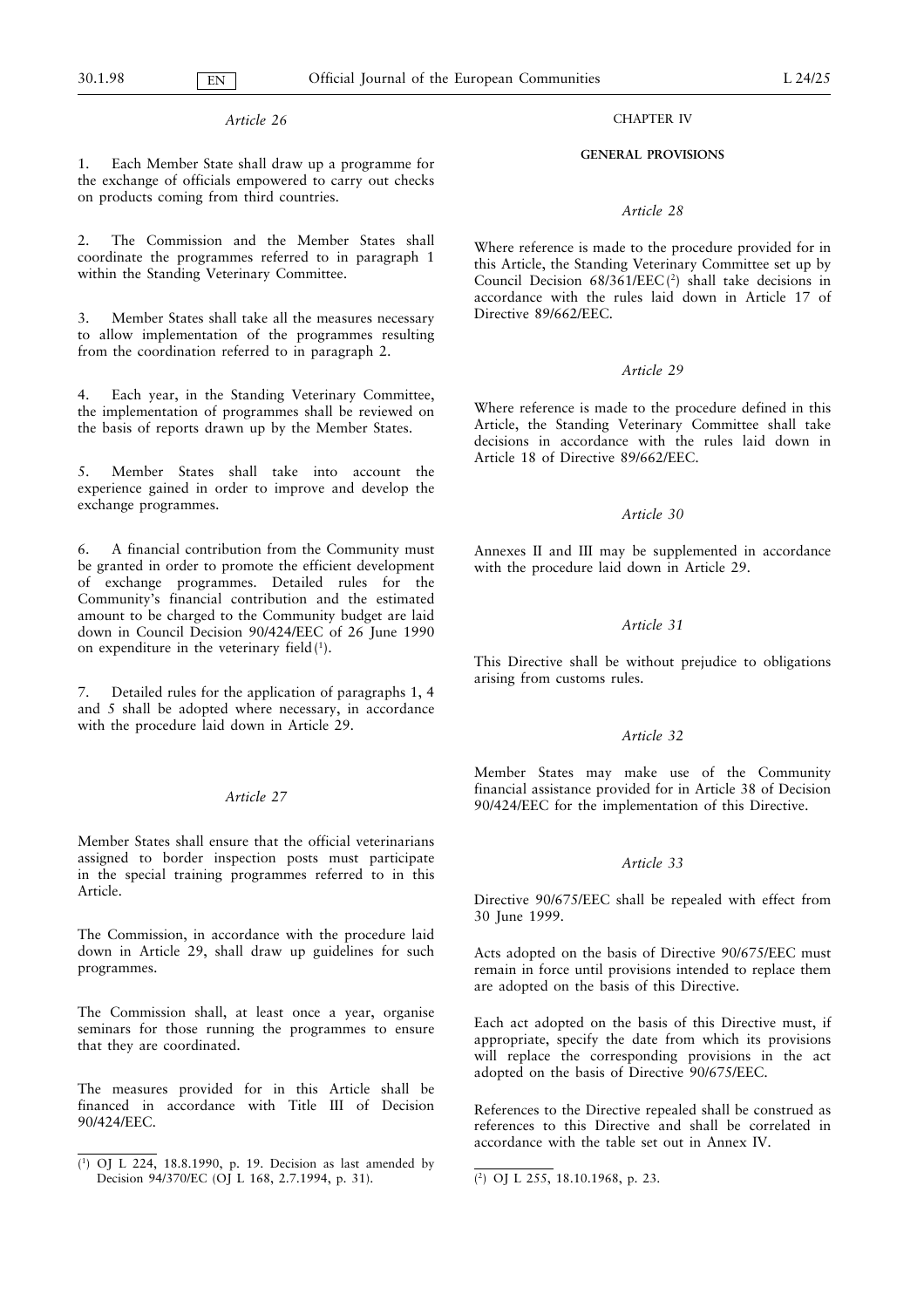*Article 26*

1. Each Member State shall draw up a programme for the exchange of officials empowered to carry out checks on products coming from third countries.

2. The Commission and the Member States shall coordinate the programmes referred to in paragraph 1 within the Standing Veterinary Committee.

3. Member States shall take all the measures necessary to allow implementation of the programmes resulting from the coordination referred to in paragraph 2.

4. Each year, in the Standing Veterinary Committee, the implementation of programmes shall be reviewed on the basis of reports drawn up by the Member States.

5. Member States shall take into account the experience gained in order to improve and develop the exchange programmes.

6. A financial contribution from the Community must be granted in order to promote the efficient development of exchange programmes. Detailed rules for the Community's financial contribution and the estimated amount to be charged to the Community budget are laid down in Council Decision 90/424/EEC of 26 June 1990 on expenditure in the veterinary field $(1)$ .

7. Detailed rules for the application of paragraphs 1, 4 and 5 shall be adopted where necessary, in accordance with the procedure laid down in Article 29.

# *Article 27*

Member States shall ensure that the official veterinarians assigned to border inspection posts must participate in the special training programmes referred to in this Article.

The Commission, in accordance with the procedure laid down in Article 29, shall draw up guidelines for such programmes.

The Commission shall, at least once a year, organise seminars for those running the programmes to ensure that they are coordinated.

The measures provided for in this Article shall be financed in accordance with Title III of Decision 90/424/EEC.

#### CHAPTER IV

#### **GENERAL PROVISIONS**

#### *Article 28*

Where reference is made to the procedure provided for in this Article, the Standing Veterinary Committee set up by Council Decision  $68/361/EEC$ <sup>(2)</sup> shall take decisions in accordance with the rules laid down in Article 17 of Directive 89/662/EEC.

#### *Article 29*

Where reference is made to the procedure defined in this Article, the Standing Veterinary Committee shall take decisions in accordance with the rules laid down in Article 18 of Directive 89/662/EEC.

#### *Article 30*

Annexes II and III may be supplemented in accordance with the procedure laid down in Article 29.

# *Article 31*

This Directive shall be without prejudice to obligations arising from customs rules.

#### *Article 32*

Member States may make use of the Community financial assistance provided for in Article 38 of Decision 90/424/EEC for the implementation of this Directive.

#### *Article 33*

Directive 90/675/EEC shall be repealed with effect from 30 June 1999.

Acts adopted on the basis of Directive 90/675/EEC must remain in force until provisions intended to replace them are adopted on the basis of this Directive.

Each act adopted on the basis of this Directive must, if appropriate, specify the date from which its provisions will replace the corresponding provisions in the act adopted on the basis of Directive 90/675/EEC.

References to the Directive repealed shall be construed as references to this Directive and shall be correlated in accordance with the table set out in Annex IV.

<sup>(</sup> 1) OJ L 224, 18.8.1990, p. 19. Decision as last amended by Decision 94/370/EC (OJ L 168, 2.7.1994, p. 31).

<sup>(</sup> 2) OJ L 255, 18.10.1968, p. 23.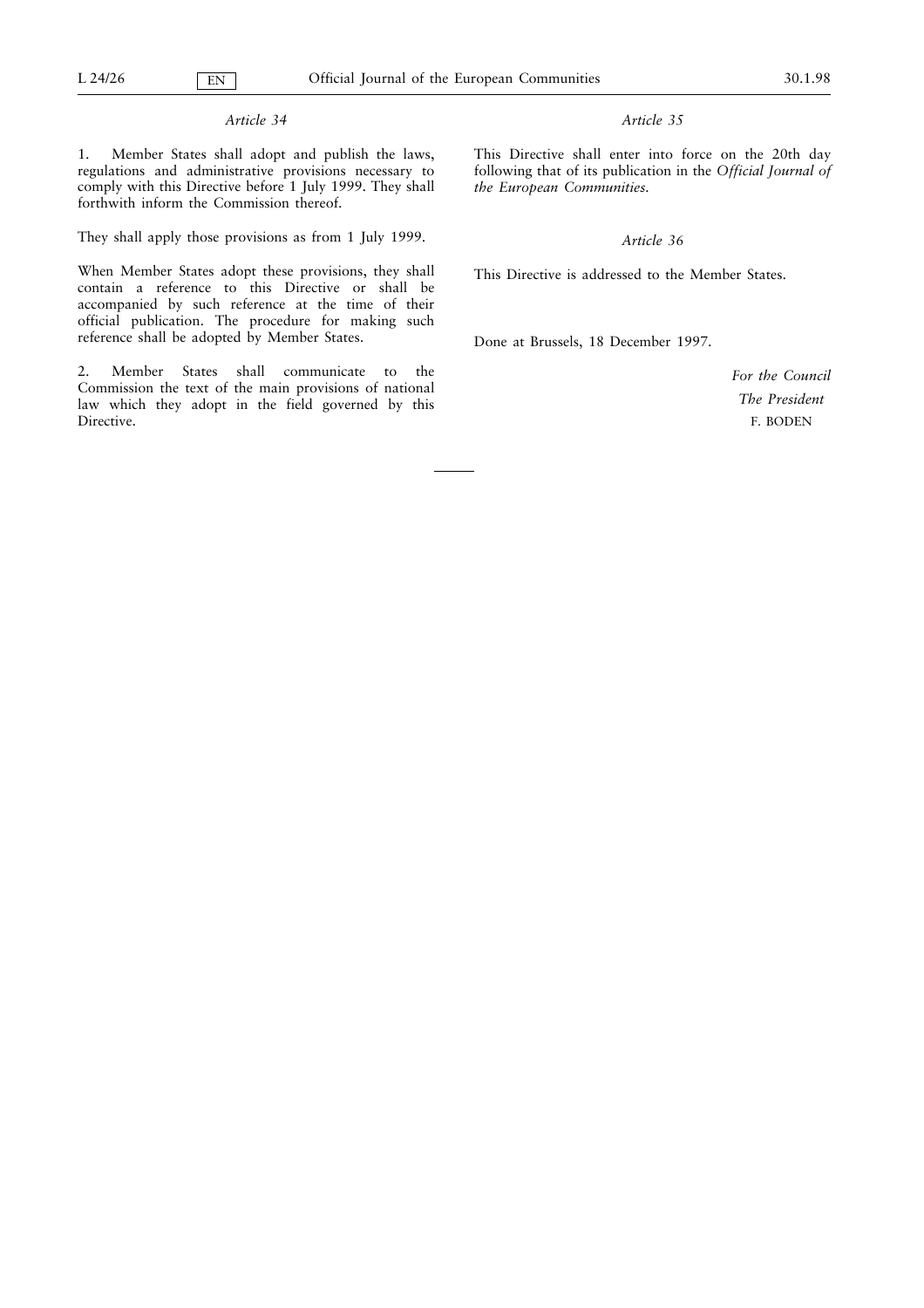# *Article 34*

1. Member States shall adopt and publish the laws, regulations and administrative provisions necessary to comply with this Directive before 1 July 1999. They shall forthwith inform the Commission thereof.

They shall apply those provisions as from 1 July 1999.

When Member States adopt these provisions, they shall contain a reference to this Directive or shall be accompanied by such reference at the time of their official publication. The procedure for making such reference shall be adopted by Member States.

2. Member States shall communicate to the Commission the text of the main provisions of national law which they adopt in the field governed by this Directive.

# *Article 35*

This Directive shall enter into force on the 20th day following that of its publication in the *Official Journal of the European Communities.*

*Article 36*

This Directive is addressed to the Member States.

Done at Brussels, 18 December 1997.

*For the Council The President* F. BODEN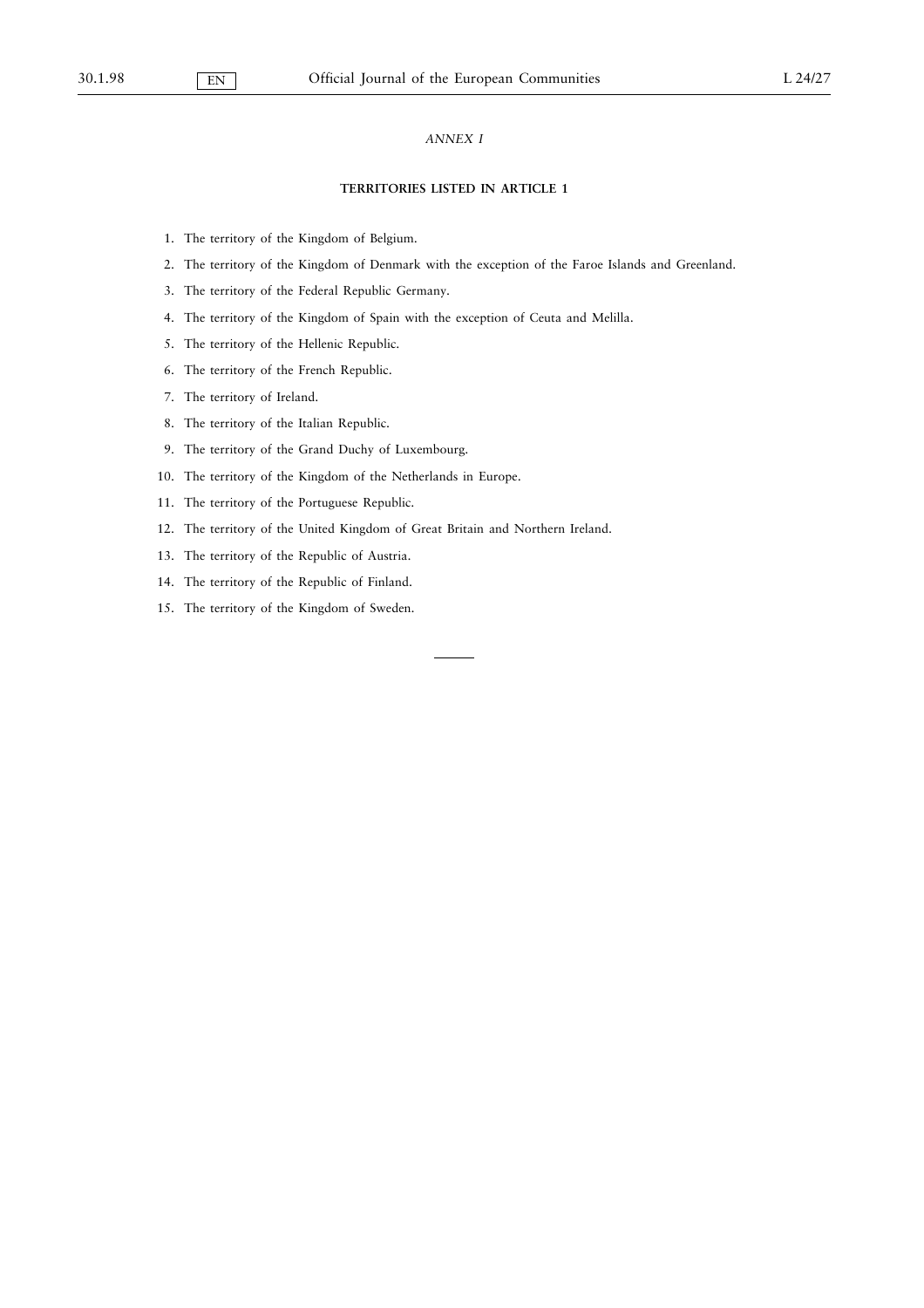# *ANNEX I*

# **TERRITORIES LISTED IN ARTICLE 1**

- 1. The territory of the Kingdom of Belgium.
- 2. The territory of the Kingdom of Denmark with the exception of the Faroe Islands and Greenland.
- 3. The territory of the Federal Republic Germany.
- 4. The territory of the Kingdom of Spain with the exception of Ceuta and Melilla.
- 5. The territory of the Hellenic Republic.
- 6. The territory of the French Republic.
- 7. The territory of Ireland.
- 8. The territory of the Italian Republic.
- 9. The territory of the Grand Duchy of Luxembourg.
- 10. The territory of the Kingdom of the Netherlands in Europe.
- 11. The territory of the Portuguese Republic.
- 12. The territory of the United Kingdom of Great Britain and Northern Ireland.
- 13. The territory of the Republic of Austria.
- 14. The territory of the Republic of Finland.
- 15. The territory of the Kingdom of Sweden.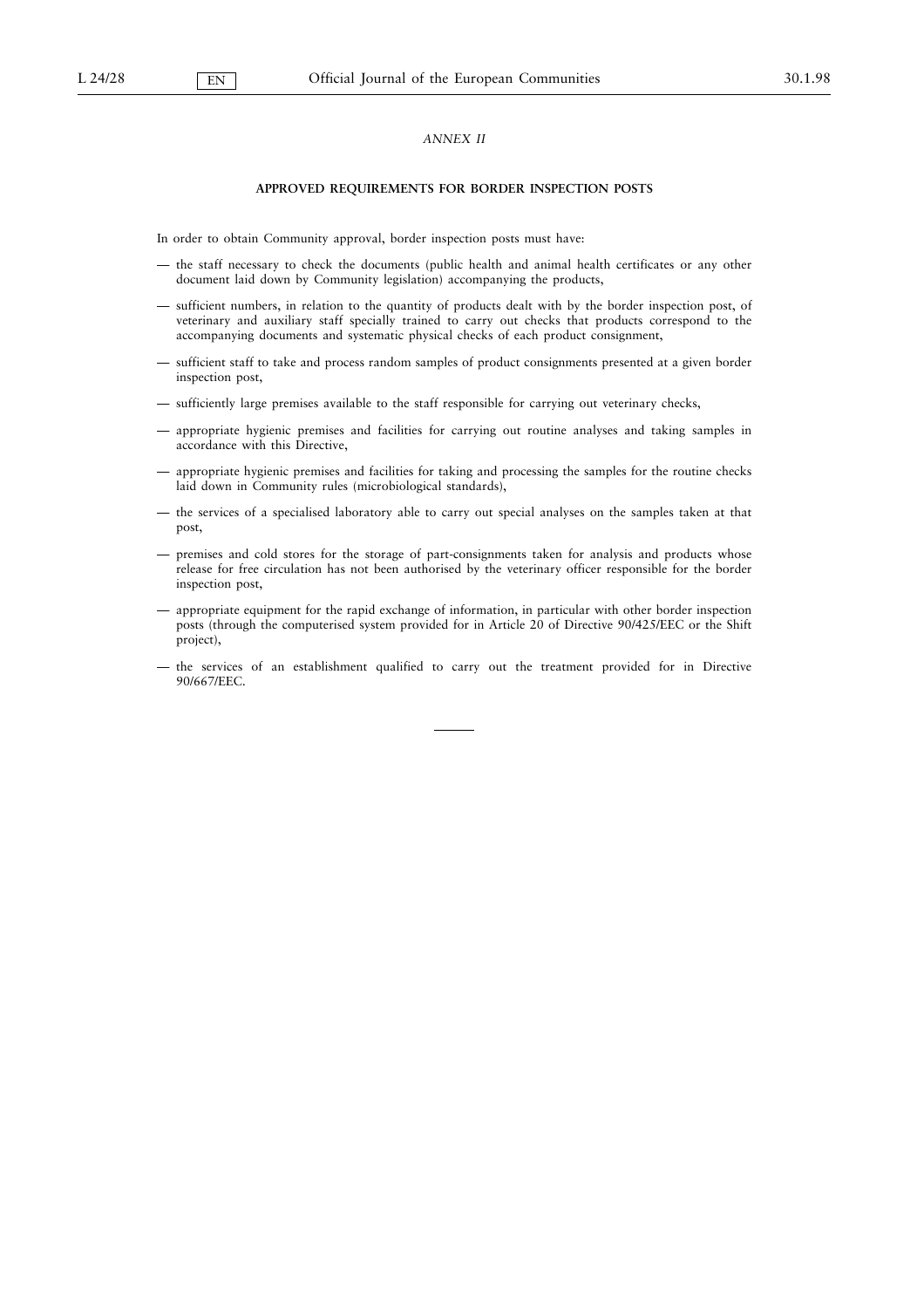#### *ANNEX II*

# **APPROVED REQUIREMENTS FOR BORDER INSPECTION POSTS**

In order to obtain Community approval, border inspection posts must have:

- the staff necessary to check the documents (public health and animal health certificates or any other document laid down by Community legislation) accompanying the products,
- sufficient numbers, in relation to the quantity of products dealt with by the border inspection post, of veterinary and auxiliary staff specially trained to carry out checks that products correspond to the accompanying documents and systematic physical checks of each product consignment,
- sufficient staff to take and process random samples of product consignments presented at a given border inspection post,
- sufficiently large premises available to the staff responsible for carrying out veterinary checks,
- appropriate hygienic premises and facilities for carrying out routine analyses and taking samples in accordance with this Directive,
- appropriate hygienic premises and facilities for taking and processing the samples for the routine checks laid down in Community rules (microbiological standards),
- the services of a specialised laboratory able to carry out special analyses on the samples taken at that post,
- premises and cold stores for the storage of part-consignments taken for analysis and products whose release for free circulation has not been authorised by the veterinary officer responsible for the border inspection post,
- appropriate equipment for the rapid exchange of information, in particular with other border inspection posts (through the computerised system provided for in Article 20 of Directive 90/425/EEC or the Shift project),
- the services of an establishment qualified to carry out the treatment provided for in Directive 90/667/EEC.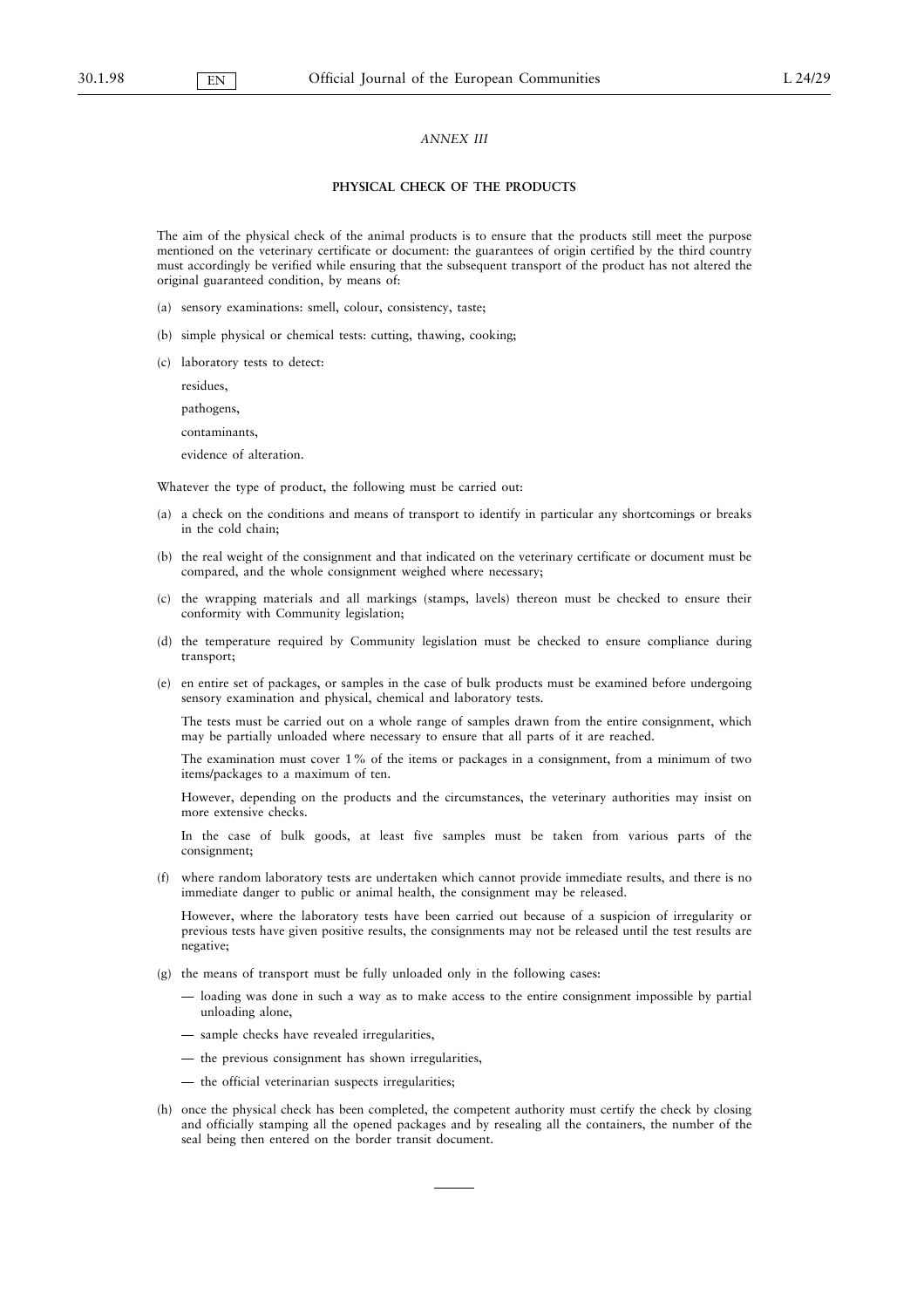#### *ANNEX III*

#### **PHYSICAL CHECK OF THE PRODUCTS**

The aim of the physical check of the animal products is to ensure that the products still meet the purpose mentioned on the veterinary certificate or document: the guarantees of origin certified by the third country must accordingly be verified while ensuring that the subsequent transport of the product has not altered the original guaranteed condition, by means of:

- (a) sensory examinations: smell, colour, consistency, taste;
- (b) simple physical or chemical tests: cutting, thawing, cooking;
- (c) laboratory tests to detect:

residues,

pathogens,

contaminants,

evidence of alteration.

Whatever the type of product, the following must be carried out:

- (a) a check on the conditions and means of transport to identify in particular any shortcomings or breaks in the cold chain;
- (b) the real weight of the consignment and that indicated on the veterinary certificate or document must be compared, and the whole consignment weighed where necessary;
- (c) the wrapping materials and all markings (stamps, lavels) thereon must be checked to ensure their conformity with Community legislation;
- (d) the temperature required by Community legislation must be checked to ensure compliance during transport;
- (e) en entire set of packages, or samples in the case of bulk products must be examined before undergoing sensory examination and physical, chemical and laboratory tests.

The tests must be carried out on a whole range of samples drawn from the entire consignment, which may be partially unloaded where necessary to ensure that all parts of it are reached.

The examination must cover 1% of the items or packages in a consignment, from a minimum of two items/packages to a maximum of ten.

However, depending on the products and the circumstances, the veterinary authorities may insist on more extensive checks.

In the case of bulk goods, at least five samples must be taken from various parts of the consignment;

(f) where random laboratory tests are undertaken which cannot provide immediate results, and there is no immediate danger to public or animal health, the consignment may be released.

However, where the laboratory tests have been carried out because of a suspicion of irregularity or previous tests have given positive results, the consignments may not be released until the test results are negative;

- (g) the means of transport must be fully unloaded only in the following cases:
	- loading was done in such a way as to make access to the entire consignment impossible by partial unloading alone,
	- sample checks have revealed irregularities,
	- the previous consignment has shown irregularities,
	- the official veterinarian suspects irregularities;
- (h) once the physical check has been completed, the competent authority must certify the check by closing and officially stamping all the opened packages and by resealing all the containers, the number of the seal being then entered on the border transit document.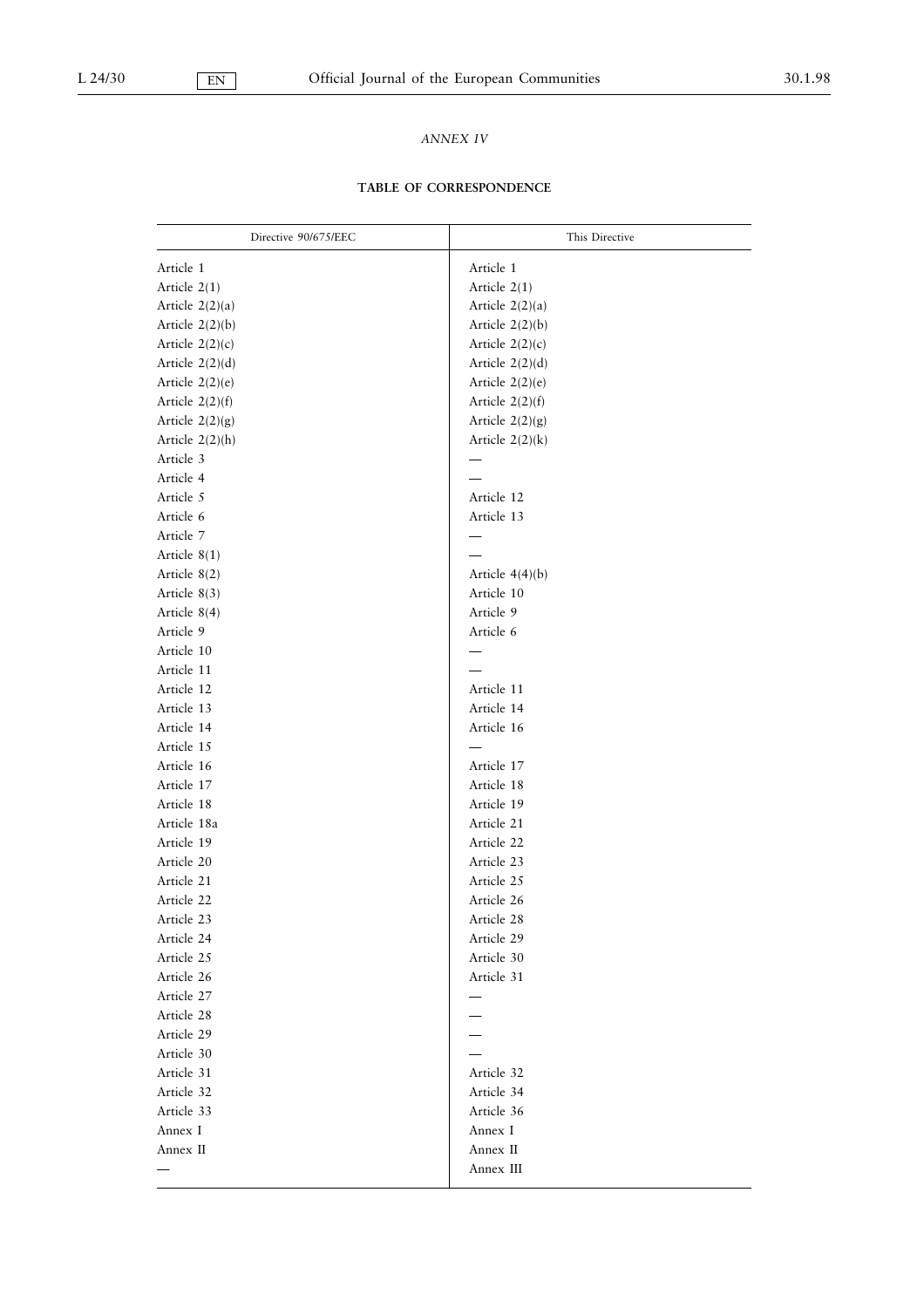# *ANNEX IV*

# **TABLE OF CORRESPONDENCE**

| Directive 90/675/EEC | This Directive    |
|----------------------|-------------------|
| Article 1            | Article 1         |
| Article 2(1)         | Article 2(1)      |
| Article $2(2)(a)$    | Article $2(2)(a)$ |
| Article $2(2)(b)$    | Article $2(2)(b)$ |
| Article $2(2)(c)$    | Article $2(2)(c)$ |
| Article $2(2)(d)$    | Article $2(2)(d)$ |
| Article $2(2)(e)$    | Article $2(2)(e)$ |
| Article $2(2)(f)$    | Article $2(2)(f)$ |
| Article $2(2)(g)$    | Article $2(2)(g)$ |
| Article $2(2)(h)$    | Article $2(2)(k)$ |
| Article 3            |                   |
| Article 4            |                   |
| Article 5            | Article 12        |
| Article 6            | Article 13        |
| Article 7            |                   |
| Article $8(1)$       |                   |
| Article 8(2)         | Article $4(4)(b)$ |
| Article $8(3)$       | Article 10        |
| Article 8(4)         | Article 9         |
| Article 9            | Article 6         |
| Article 10           |                   |
| Article 11           |                   |
| Article 12           | Article 11        |
| Article 13           | Article 14        |
| Article 14           | Article 16        |
| Article 15           |                   |
| Article 16           | Article 17        |
| Article 17           | Article 18        |
| Article 18           | Article 19        |
| Article 18a          | Article 21        |
| Article 19           | Article 22        |
| Article 20           | Article 23        |
| Article 21           | Article 25        |
| Article 22           | Article 26        |
| Article 23           | Article 28        |
| Article 24           | Article 29        |
| Article 25           | Article 30        |
| Article 26           | Article 31        |
| Article 27           |                   |
| Article 28           |                   |
| Article 29           |                   |
| Article 30           |                   |
| Article 31           | Article 32        |
| Article 32           | Article 34        |
| Article 33           | Article 36        |
| Annex I              | Annex I           |
| Annex II             | Annex II          |
|                      | Annex III         |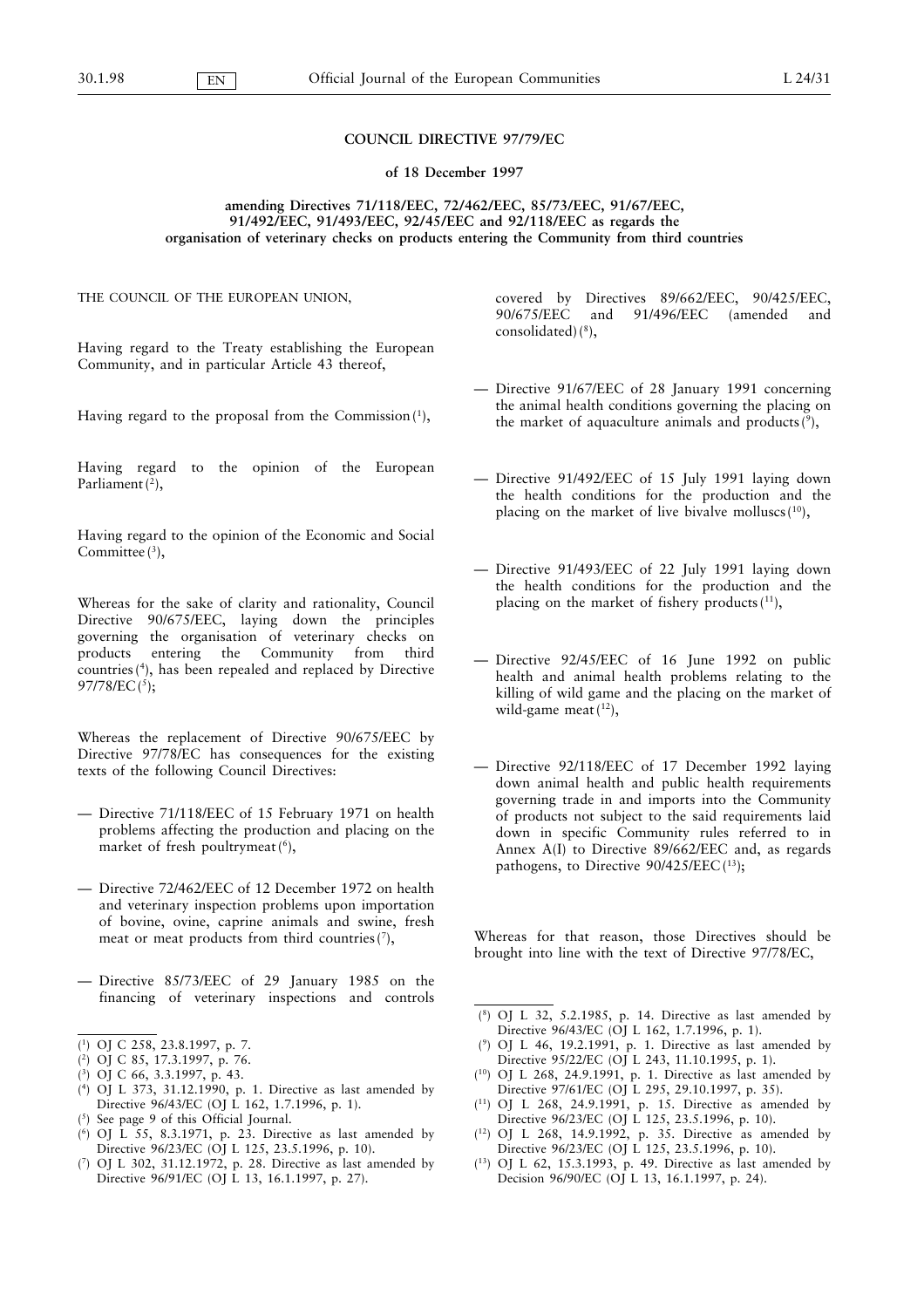#### **COUNCIL DIRECTIVE 97/79/EC**

#### **of 18 December 1997**

# **amending Directives 71/118/EEC, 72/462/EEC, 85/73/EEC, 91/67/EEC, 91/492/EEC, 91/493/EEC, 92/45/EEC and 92/118/EEC as regards the organisation of veterinary checks on products entering the Community from third countries**

THE COUNCIL OF THE EUROPEAN UNION,

Having regard to the Treaty establishing the European Community, and in particular Article 43 thereof,

Having regard to the proposal from the Commission $(1)$ ,

Having regard to the opinion of the European Parliament $(2)$ ,

Having regard to the opinion of the Economic and Social Committee $(3)$ ,

Whereas for the sake of clarity and rationality, Council Directive 90/675/EEC, laying down the principles governing the organisation of veterinary checks on products entering the Community from third countries(4 ), has been repealed and replaced by Directive  $97/78/EC(5);$ 

Whereas the replacement of Directive 90/675/EEC by Directive 97/78/EC has consequences for the existing texts of the following Council Directives:

- Directive 71/118/EEC of 15 February 1971 on health problems affecting the production and placing on the market of fresh poultrymeat $(6)$ ,
- Directive 72/462/EEC of 12 December 1972 on health and veterinary inspection problems upon importation of bovine, ovine, caprine animals and swine, fresh meat or meat products from third countries $(7)$ ,
- Directive 85/73/EEC of 29 January 1985 on the financing of veterinary inspections and controls
- ( 1) OJ C 258, 23.8.1997, p. 7.
- ( 2) OJ C 85, 17.3.1997, p. 76.
- $(3)$  OJ C 66, 3.3.1997, p. 43.
- ( 4 ) OJ L 373, 31.12.1990, p. 1. Directive as last amended by Directive 96/43/EC (OJ L 162, 1.7.1996, p. 1).
- ( 5) See page 9 of this Official Journal.
- ( 6 ) OJ L 55, 8.3.1971, p. 23. Directive as last amended by Directive 96/23/EC (OJ L 125, 23.5.1996, p. 10).
- ( 7) OJ L 302, 31.12.1972, p. 28. Directive as last amended by Directive 96/91/EC (OJ L 13, 16.1.1997, p. 27).

covered by Directives 89/662/EEC, 90/425/EEC,<br>90/675/EEC and 91/496/EEC (amended and and 91/496/EEC (amended and consolidated) $(^8)$ ,

- Directive 91/67/EEC of 28 January 1991 concerning the animal health conditions governing the placing on the market of aquaculture animals and products $(°)$ ,
- Directive 91/492/EEC of 15 July 1991 laying down the health conditions for the production and the placing on the market of live bivalve molluscs $(10)$ ,
- Directive 91/493/EEC of 22 July 1991 laying down the health conditions for the production and the placing on the market of fishery products<sup>(11</sup>),
- Directive 92/45/EEC of 16 June 1992 on public health and animal health problems relating to the killing of wild game and the placing on the market of wild-game meat  $(12)$ ,
- Directive 92/118/EEC of 17 December 1992 laying down animal health and public health requirements governing trade in and imports into the Community of products not subject to the said requirements laid down in specific Community rules referred to in Annex A(I) to Directive 89/662/EEC and, as regards pathogens, to Directive  $90/425/EEC^{(13)}$ ;

Whereas for that reason, those Directives should be brought into line with the text of Directive 97/78/EC,

- (8 ) OJ L 32, 5.2.1985, p. 14. Directive as last amended by Directive 96/43/EC (OJ L 162, 1.7.1996, p. 1).
- (9 ) OJ L 46, 19.2.1991, p. 1. Directive as last amended by Directive 95/22/EC (OJ L 243, 11.10.1995, p. 1).
- $(10)$  OJ L 268, 24.9.1991, p. 1. Directive as last amended by Directive 97/61/EC (OJ L 295, 29.10.1997, p. 35).
- ( 11) OJ L 268, 24.9.1991, p. 15. Directive as amended by Directive 96/23/EC (OJ L 125, 23.5.1996, p. 10).
- ( 12) OJ L 268, 14.9.1992, p. 35. Directive as amended by Directive 96/23/EC (OJ L 125, 23.5.1996, p. 10).
- $(13)$  OJ L 62, 15.3.1993, p. 49. Directive as last amended by Decision 96/90/EC (OJ L 13, 16.1.1997, p. 24).